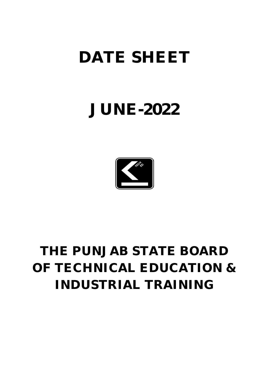# **DATE SHEET**

# **JUNE-2022**



# **THE PUNJAB STATE BOARD OF TECHNICAL EDUCATION & INDUSTRIAL TRAINING**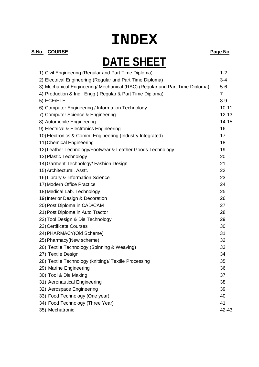# **INDEX**

### **S.No. COURSE Page No**

# **DATE SHEET**

| 1) Civil Engineering (Regular and Part Time Diploma)                        | $1 - 2$        |
|-----------------------------------------------------------------------------|----------------|
| 2) Electrical Engineering (Regular and Part Time Diploma)                   | $3 - 4$        |
| 3) Mechanical Engineering/ Mechanical (RAC) (Regular and Part Time Diploma) | $5-6$          |
| 4) Production & Indl. Engg.( Regular & Part Time Diploma)                   | $\overline{7}$ |
| 5) ECE/ETE                                                                  | $8-9$          |
| 6) Computer Engineering / Information Technology                            | $10 - 11$      |
| 7) Computer Science & Engineering                                           | $12 - 13$      |
| 8) Automobile Engineering                                                   | $14 - 15$      |
| 9) Electrical & Electronics Engineering                                     | 16             |
| 10) Electronics & Comm. Engineering (Industry Integrated)                   | 17             |
| 11) Chemical Engineering                                                    | 18             |
| 12) Leather Technology/Footwear & Leather Goods Technology                  | 19             |
| 13) Plastic Technology                                                      | 20             |
| 14) Garment Technology/ Fashion Design                                      | 21             |
| 15) Architectural. Asstt.                                                   | 22             |
| 16) Library & Information Science                                           | 23             |
| 17) Modern Office Practice                                                  | 24             |
| 18) Medical Lab. Technology                                                 | 25             |
| 19) Interior Design & Decoration                                            | 26             |
| 20) Post Diploma in CAD/CAM                                                 | 27             |
| 21) Post Diploma in Auto Tractor                                            | 28             |
| 22) Tool Design & Die Technology                                            | 29             |
| 23) Certificate Courses                                                     | 30             |
| 24) PHARMACY(Old Scheme)                                                    | 31             |
| 25) Pharmacy(New scheme)                                                    | 32             |
| 26) Textile Technology (Spinning & Weaving)                                 | 33             |
| 27) Textile Design                                                          | 34             |
| 28) Textile Technology (knitting)/ Textile Processing                       | 35             |
| 29) Marine Engineering                                                      | 36             |
| 30) Tool & Die Making                                                       | 37             |
| 31) Aeronautical Engineering                                                | 38             |
| 32) Aerospace Engineering                                                   | 39             |
| 33) Food Technology (One year)                                              | 40             |
| 34) Food Technology (Three Year)                                            | 41             |
| 35) Mechatronic                                                             | 42-43          |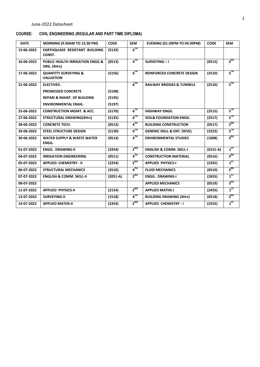### **COURSE: CIVIL ENGINEERING (REGULAR AND PART TIME DIPLOMA)**

| <b>DATE</b> | <b>MORNING (9:30AM TO 12:30 PM)</b>                       | <b>CODE</b> | <b>SEM</b>      | <b>EVENING (01:30PM TO 04:30PM)</b>   | <b>CODE</b> | <b>SEM</b>                                            |
|-------------|-----------------------------------------------------------|-------------|-----------------|---------------------------------------|-------------|-------------------------------------------------------|
| 15-06-2022  | <b>EARTHOUAKE RESISTANT BUILDING</b><br>CONST.            | (5132)      | $6^{TH}$        |                                       |             |                                                       |
| 16-06-2022  | <b>PUBLIC HEALTH IRRIGATION ENGG &amp;</b><br>DRG. (4Hrs) | (0513)      | $4^{TH}$        | SURVEYING-I                           | (0515)      | 3 <sup>RD</sup>                                       |
| 17-06-2022  | <b>QUANTITY SURVEYING &amp;</b><br><b>VALUATION</b>       | (5156)      | $6^{TH}$        | <b>REINFORCED CONCRETE DESIGN</b>     | (2510)      | $5^{\text{TH}}$                                       |
| 21-06-2022  | <b>ELECTIVES:</b>                                         |             | $6^{TH}$        | <b>RAILWAY BRIDGES &amp; TUNNELS</b>  | (2516)      | $5^{\text{TH}}$                                       |
|             | <b>PRESRESSED CONCRETE</b>                                | (5198)      |                 |                                       |             |                                                       |
|             | <b>REPARI &amp; MAINT. OF BUILDING</b>                    | (5195)      |                 |                                       |             |                                                       |
|             | <b>ENVIRONMENTAL ENGG.</b>                                | (5197)      |                 |                                       |             |                                                       |
| 25-06-2022  | <b>CONSTRUCTION MGMT, &amp; ACC.</b>                      | (5170)      | $6^{TH}$        | <b>HIGHWAY ENGG.</b>                  | (2515)      | $\mathsf{s}^{\scriptscriptstyle\mathsf{T}\mathsf{H}}$ |
| 27-06-2022  | <b>STRUCTURAL DRAWING(4Hrs)</b>                           | (5135)      | $6^{TH}$        | <b>SOIL&amp; FOUNDATION ENGG.</b>     | (2517)      | 5 <sup>TH</sup>                                       |
| 28-06-2022  | <b>CONCRETE TECH.</b>                                     | (0512)      | $4^{TH}$        | <b>BUILDING CONSTRUCTION</b>          | (0517)      | 3 <sup>RD</sup>                                       |
| 29-06-2022  | <b>STEEL STRUCTURE DESIGN</b>                             | (5130)      | $6^{TH}$        | <b>GENERIC SKILL &amp; ENT. DEVEL</b> | (2222)      | 5™                                                    |
| 30-06-2022  | <b>WATER SUPPLY &amp; WASTE WATER</b><br>ENGG.            | (0514)      | $4^{TH}$        | <b>ENVIRONMENTAL STUDIES</b>          | (1008)      | $3^{RD}$                                              |
| 01-07-2022  | <b>ENGG. DRAWING-II</b>                                   | (2454)      | $2^{ND}$        | <b>ENGLISH &amp; COMM. SKILL-I</b>    | $(0151-A)$  | $1^{5T}$                                              |
| 04-07-2022  | <b>IRRIGATION ENGINEERING</b>                             | (0511)      | 4 <sup>TH</sup> | <b>CONSTRUCTION MATERIAL</b>          | (0516)      | 3 <sup>RD</sup>                                       |
| 05-07-2022  | <b>APPLIED CHEMISTRY - II</b>                             | (2254)      | $2^{ND}$        | <b>APPLIED PHYSICS-I</b>              | (2355)      | $1^{5T}$                                              |
| 06-07-2022  | <b>STRUCTURAL MECHANICS</b>                               | (3510)      | $4^{TH}$        | <b>FLUID MECHANICS</b>                | (0510)      | 3 <sup>RD</sup>                                       |
| 07-07-2022  | <b>ENGLISH &amp; COMM. SKILL-II</b>                       | $(2051-A)$  | $2^{ND}$        | <b>ENGG. DRAWING-I</b>                | (2655)      | $1^{57}$                                              |
| 08-07-2022  |                                                           |             |                 | <b>APPLIED MECHANICS</b>              | (0519)      | 3 <sup>RD</sup>                                       |
| 11-07-2022  | <b>APPLIED PHYSICS-II</b>                                 | (2154)      | $2^{ND}$        | <b>APPLIED MATHS-I</b>                | (2455)      | $1^{ST}$                                              |
| 13-07-2022  | <b>SURVEYING-II</b>                                       | (1518)      | $4^{TH}$        | <b>BUILDING DRAWING (4Hrs)</b>        | (0518)      | $3^{RD}$                                              |
| 14-07-2022  | <b>APPLIED MATHS-II</b>                                   | (2354)      | $2^{ND}$        | <b>APPLIED CHEMISTRY - I</b>          | (2555)      | $1^{ST}$                                              |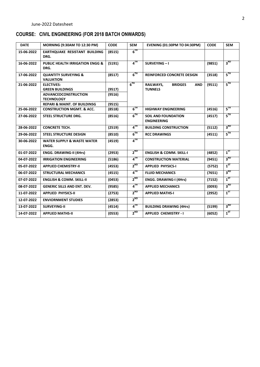# **COURSE: CIVIL ENGINEERING (FOR 2018 BATCH ONWARDS)**

| <b>DATE</b> | <b>MORNING (9:30AM TO 12:30 PM)</b>                                             | <b>CODE</b>      | <b>SEM</b>      | <b>EVENING (01:30PM TO 04:30PM)</b>                                | <b>CODE</b> | <b>SEM</b>      |
|-------------|---------------------------------------------------------------------------------|------------------|-----------------|--------------------------------------------------------------------|-------------|-----------------|
| 15-06-2022  | <b>EARTHOUAKE RESISTANT BUILDING</b><br>DRG.                                    | (8515)           | $6^{TH}$        |                                                                    |             |                 |
| 16-06-2022  | <b>PUBLIC HEALTH IRRIGATION ENGG &amp;</b><br>DRG.                              | (5191)           | $4^{TH}$        | SURVEYING-I                                                        | (9851)      | 3 <sup>RD</sup> |
| 17-06-2022  | <b>QUANTITY SURVEYING &amp;</b><br><b>VALUATION</b>                             | (8517)           | $6^{TH}$        | <b>REINFORCED CONCRETE DESIGN</b>                                  | (3518)      | $5^{\text{TH}}$ |
| 21-06-2022  | <b>ELECTIVES:</b><br><b>GREEN BUILDINGS</b>                                     | (9517)           | $6^{TH}$        | <b>BRIDGES</b><br><b>RAILWAYS,</b><br><b>AND</b><br><b>TUNNELS</b> | (9511)      | $5^{\text{TH}}$ |
|             | <b>ADVANCEDCONSTRUCTION</b><br><b>TECHNOLOGY</b>                                | (9516)           |                 |                                                                    |             |                 |
| 25-06-2022  | <b>REPARI &amp; MAINT. OF BUILDINSG</b><br><b>CONSTRUCTION MGMT. &amp; ACC.</b> | (9515)<br>(8518) | $6^{TH}$        | <b>HIGHWAY ENGINEERING</b>                                         | (4516)      | $5^{\rm TH}$    |
| 27-06-2022  | <b>STEEL STRUCTURE DRG.</b>                                                     | (8516)           | 6 <sup>TH</sup> | <b>SOIL AND FOUNDATION</b><br><b>ENGINEERING</b>                   | (4517)      | $5^{TH}$        |
| 28-06-2022  | <b>CONCRETE TECH.</b>                                                           | (2519)           | $4^{TH}$        | <b>BUILDING CONSTRUCTION</b>                                       | (5112)      | $3^{RD}$        |
| 29-06-2022  | <b>STEEL STRUCTURE DESIGN</b>                                                   | (8510)           | $6^{TH}$        | <b>RCC DRAWINGS</b>                                                | (4511)      | $5^{\rm{TH}}$   |
| 30-06-2022  | <b>WATER SUPPLY &amp; WASTE WATER</b><br>ENGG.                                  | (4519)           | $4^{TH}$        |                                                                    |             |                 |
| 01-07-2022  | <b>ENGG. DRAWING-II (4Hrs)</b>                                                  | (2953)           | $2^{ND}$        | <b>ENGLISH &amp; COMM. SKILL-I</b>                                 | (4852)      | $1^{ST}$        |
| 04-07-2022  | <b>IRRIGATION ENGINEERING</b>                                                   | (5186)           | $4^{TH}$        | <b>CONSTRUCTION MATERIAL</b>                                       | (9451)      | 3 <sup>RD</sup> |
| 05-07-2022  | <b>APPLIED CHEMISTRY-II</b>                                                     | (4553)           | $2^{ND}$        | <b>APPLIED PHYSICS-I</b>                                           | (5752)      | $1^{5T}$        |
| 06-07-2022  | <b>STRUCTURAL MECHANICS</b>                                                     | (4515)           | 4 <sup>TH</sup> | <b>FLUID MECHANICS</b>                                             | (7651)      | 3 <sup>RD</sup> |
| 07-07-2022  | <b>ENGLISH &amp; COMM. SKILL-II</b>                                             | (0453)           | $2^{ND}$        | <b>ENGG. DRAWING-I (4Hrs)</b>                                      | (7152)      | $1^{ST}$        |
| 08-07-2022  | <b>GENERIC SILLS AND ENT. DEV.</b>                                              | (9585)           | $4^{TH}$        | <b>APPLIED MECHANICS</b>                                           | (0093)      | 3 <sup>RD</sup> |
| 11-07-2022  | <b>APPLIED PHYSICS-II</b>                                                       | (2753)           | $2^{ND}$        | <b>APPLIED MATHS-I</b>                                             | (2952)      | $1^{ST}$        |
| 12-07-2022  | <b>ENVIORNMENT STUDIES</b>                                                      | (2853)           | $2^{ND}$        |                                                                    |             |                 |
| 13-07-2022  | <b>SURVEYING-II</b>                                                             | (4514)           | $4^{TH}$        | <b>BUILDING DRAWING (4Hrs)</b>                                     | (5199)      | 3 <sup>RD</sup> |
| 14-07-2022  | <b>APPLIED MATHS-II</b>                                                         | (0553)           | $2^{ND}$        | <b>APPLIED CHEMISTRY - I</b>                                       | (6052)      | $1^{57}$        |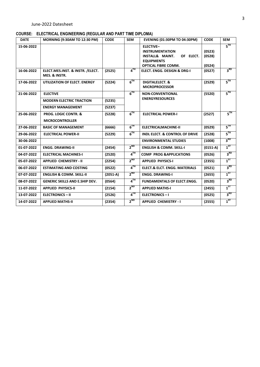### **COURSE: ELECTRICAL ENGINEERING (REGULAR AND PART TIME DIPLOMA)**

| <b>DATE</b> | <b>MORNING (9:30AM TO 12:30 PM)</b>                | <b>CODE</b> | <b>SEM</b>      | <b>EVENING (01:30PM TO 04:30PM)</b>                                                                                                      | <b>CODE</b>                | <b>SEM</b>      |
|-------------|----------------------------------------------------|-------------|-----------------|------------------------------------------------------------------------------------------------------------------------------------------|----------------------------|-----------------|
| 15-06-2022  |                                                    |             |                 | <b>ELECTIVE-</b><br><b>INSTRUMENTATION</b><br><b>INSTALL&amp; MAINT.</b><br>OF ELECT.<br><b>EQUIPMENTS</b><br><b>OPTICAL FIBRE COMM.</b> | (0523)<br>(0528)<br>(0524) | $5^{\text{TH}}$ |
| 16-06-2022  | ELECT.MES.INST. & INSTR. / ELECT.<br>MES. & INSTR. | (2525)      | $4^{TH}$        | <b>ELECT. ENGG. DESIGN &amp; DRG-I</b>                                                                                                   | (0527)                     | 3 <sup>RD</sup> |
| 17-06-2022  | UTILIZATION OF ELECT. ENERGY                       | (5224)      | $6^{TH}$        | <b>DIGITALELECT. &amp;</b><br><b>MICROPROCESSOR</b>                                                                                      | (2529)                     | $5^{\rm{TH}}$   |
| 21-06-2022  | <b>ELECTIVE</b>                                    |             | $6^{TH}$        | <b>NON-CONVENTIONAL</b>                                                                                                                  | (5520)                     | 5 <sup>TH</sup> |
|             | <b>MODERN ELECTRIC TRACTION</b>                    | (5235)      |                 | <b>ENERGYRESOURCES</b>                                                                                                                   |                            |                 |
|             | <b>ENERGY MANAGEMENT</b>                           | (5237)      |                 |                                                                                                                                          |                            |                 |
| 25-06-2022  | <b>PROG. LOGIC CONTR. &amp;</b>                    | (5228)      | $6^{TH}$        | <b>ELECTRICAL POWER-I</b>                                                                                                                | (2527)                     | $5^{\text{th}}$ |
|             | <b>MICROCONTROLLER</b>                             |             |                 |                                                                                                                                          |                            |                 |
| 27-06-2022  | <b>BASIC OF MANAGEMENT</b>                         | (6666)      | $6^{TH}$        | <b>ELECTRICALMACHINE-II</b>                                                                                                              | (0529)                     | $5^{\rm{TH}}$   |
| 29-06-2022  | <b>ELECTRICAL POWER-II</b>                         | (5229)      | $6^{TH}$        | <b>INDL ELECT. &amp; CONTROL OF DRIVE</b>                                                                                                | (2528)                     | $5^{\text{TH}}$ |
| 30-06-2022  |                                                    |             |                 | <b>ENVIRONMENTAL STUDIES</b>                                                                                                             | (1008)                     | 3 <sup>RD</sup> |
| 01-07-2022  | <b>ENGG. DRAWING-II</b>                            | (2454)      | $2^{ND}$        | <b>ENGLISH &amp; COMM. SKILL-I</b>                                                                                                       | $(0151-A)$                 | $1^{ST}$        |
| 04-07-2022  | <b>ELECTRICAL MACHINES-I</b>                       | (2520)      | $4^{TH}$        | <b>COMP PROG &amp; APPLICATIONS</b>                                                                                                      | (0526)                     | $3^{RD}$        |
| 05-07-2022  | <b>APPLIED CHEMISTRY - II</b>                      | (2254)      | $2^{ND}$        | <b>APPLIED PHYSICS-I</b>                                                                                                                 | (2355)                     | 1 <sup>ST</sup> |
| 06-07-2022  | <b>ESTIMATING AND COSTING</b>                      | (0522)      | $4^{TH}$        | <b>ELECT.&amp; ELCT. ENGG. MATERIALS</b>                                                                                                 | (0521)                     | 3 <sup>RD</sup> |
| 07-07-2022  | <b>ENGLISH &amp; COMM. SKILL-II</b>                | $(2051-A)$  | $2^{ND}$        | <b>ENGG. DRAWING-I</b>                                                                                                                   | (2655)                     | $1^{5T}$        |
| 08-07-2022  | <b>GENERIC SKILLS AND E.SHIP DEV.</b>              | (0564)      | 4 <sup>TH</sup> | <b>FUNDAMENTALS OF ELECT.ENGG.</b>                                                                                                       | (0520)                     | 3 <sup>RD</sup> |
| 11-07-2022  | <b>APPLIED PHYSICS-II</b>                          | (2154)      | $2^{ND}$        | <b>APPLIED MATHS-I</b>                                                                                                                   | (2455)                     | $1^{ST}$        |
| 13-07-2022  | <b>ELECTRONICS - II</b>                            | (2526)      | $4^{TH}$        | <b>ELECTRONICS-I</b>                                                                                                                     | (0525)                     | 3 <sup>RD</sup> |
| 14-07-2022  | <b>APPLIED MATHS-II</b>                            | (2354)      | $2^{ND}$        | <b>APPLIED CHEMISTRY - I</b>                                                                                                             | (2555)                     | $1^{57}$        |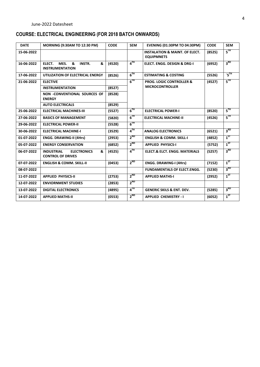# **COURSE: ELECTRICAL ENGINEERING (FOR 2018 BATCH ONWARDS)**

| <b>DATE</b> | <b>MORNING (9:30AM TO 12:30 PM)</b>                                      | <b>CODE</b> | <b>SEM</b>        | <b>EVENING (01:30PM TO 04:30PM)</b>                            | <b>CODE</b> | <b>SEM</b>      |
|-------------|--------------------------------------------------------------------------|-------------|-------------------|----------------------------------------------------------------|-------------|-----------------|
| 15-06-2022  |                                                                          |             |                   | <b>INSTALATION &amp; MAINT, OF ELECT.</b><br><b>EQUIPMNETS</b> | (8525)      | $5^{\text{TH}}$ |
| 16-06-2022  | <b>INSTR.</b><br>&<br>ELECT.<br>MES.<br>&<br><b>INSTRUMENTATION</b>      | (4520)      | $4$ <sup>TH</sup> | <b>ELECT. ENGG. DESIGN &amp; DRG-I</b>                         | (6952)      | 3 <sup>RD</sup> |
| 17-06-2022  | UTILIZATION OF ELECTRICAL ENERGY                                         | (8526)      | $6^{TH}$          | <b>ESTIMATING &amp; COSTING</b>                                | (5526)      | $\cdot$ 5TH     |
| 21-06-2022  | <b>ELECTIVE</b>                                                          |             | $6^{TH}$          | <b>PROG. LOGIC CONTROLLER &amp;</b>                            | (4527)      | $5^{\text{TH}}$ |
|             | <b>INSTRUMENTATION</b>                                                   | (8527)      |                   | <b>MICROCONTROLLER</b>                                         |             |                 |
|             | NON -CONVENTIONAL SOURCES OF<br><b>ENERGY</b>                            | (8528)      |                   |                                                                |             |                 |
|             | <b>AUTO ELECTRICALS</b>                                                  | (8529)      |                   |                                                                |             |                 |
| 25-06-2022  | <b>ELECTRICAL MACHINES-III</b>                                           | (5527)      | $6^{TH}$          | <b>ELECTRICAL POWER-I</b>                                      | (8520)      | $5^{\rm{TH}}$   |
| 27-06-2022  | <b>BASICS OF MANAGEMENT</b>                                              | (5820)      | 6 <sup>TH</sup>   | <b>ELECTRICAL MACHINE-II</b>                                   | (4526)      | 5 <sup>TH</sup> |
| 29-06-2022  | <b>ELECTRICAL POWER-II</b>                                               | (5528)      | $6^{TH}$          |                                                                |             |                 |
| 30-06-2022  | <b>ELECTRICAL MACHINE-I</b>                                              | (3529)      | $4^{TH}$          | <b>ANALOG ELECTRONICS</b>                                      | (6521)      | 3 <sup>RD</sup> |
| 01-07-2022  | <b>ENGG. DRAWING-II (4Hrs)</b>                                           | (2953)      | $2^{ND}$          | <b>ENGLISH &amp; COMM. SKILL-I</b>                             | (4852)      | $1^{ST}$        |
| 05-07-2022  | <b>ENERGY CONSERVATION</b>                                               | (6852)      | $2^{ND}$          | <b>APPLIED PHYSICS-I</b>                                       | (5752)      | $1^{5T}$        |
| 06-07-2022  | <b>INDUSTRIAL</b><br>&<br><b>ELECTRONICS</b><br><b>CONTROL OF DRIVES</b> | (4525)      | $4^{TH}$          | <b>ELECT.&amp; ELCT. ENGG. MATERIALS</b>                       | (5257)      | 3 <sup>RD</sup> |
| 07-07-2022  | <b>ENGLISH &amp; COMM. SKILL-II</b>                                      | (0453)      | $2^{ND}$          | <b>ENGG. DRAWING-I (4Hrs)</b>                                  | (7152)      | $1^{5T}$        |
| 08-07-2022  |                                                                          |             |                   | <b>FUNDAMENTALS OF ELECT.ENGG.</b>                             | (5230)      | 3 <sup>RD</sup> |
| 11-07-2022  | <b>APPLIED PHYSICS-II</b>                                                | (2753)      | $2^{ND}$          | <b>APPLIED MATHS-I</b>                                         | (2952)      | $1^{5T}$        |
| 12-07-2022  | <b>ENVIORNMENT STUDIES</b>                                               | (2853)      | $2^{ND}$          |                                                                |             |                 |
| 13-07-2022  | <b>DIGITAL ELECTRONICS</b>                                               | (4895)      | $4^{TH}$          | <b>GENERIC SKILS &amp; ENT. DEV.</b>                           | (5285)      | 3 <sup>RD</sup> |
| 14-07-2022  | <b>APPLIED MATHS-II</b>                                                  | (0553)      | $2^{ND}$          | <b>APPLIED CHEMISTRY - I</b>                                   | (6052)      | $1^{ST}$        |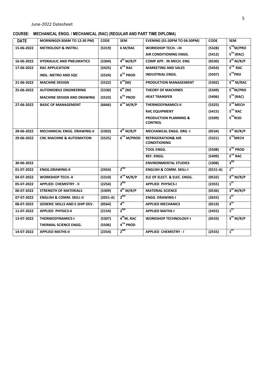### **COURSE: MECHANICAL ENGG. / MECHANICAL (RAC) (REGULAR AND PART TIME DIPLOMA)**

| <b>DATE</b> | <b>MORNING(9:30AM TO 12:30 PM)</b>    | <b>CODE</b> | <b>SEM</b>             | <b>EVENING (01:30PM TO 04:30PM)</b>                  | <b>CODE</b> | <b>SEM</b>            |
|-------------|---------------------------------------|-------------|------------------------|------------------------------------------------------|-------------|-----------------------|
| 15-06-2022  | <b>METROLOGY &amp; INSTRU.</b>        | (5319)      | 6 M/RAC                | <b>WORKSHOP TECH. - III</b>                          | (5328)      | 5 <sup>TH</sup> M/PRO |
|             |                                       |             |                        | AIR CONDITIONING ENGG.                               | (5412)      | $5TH$ (RAC)           |
| 16-06-2022  | <b>HYDRAULIC AND PNEUMATICS</b>       | (5304)      | $4^{th}$ M/R/P         | COMP APP. IN MECH. ENG                               | (0530)      | 3 <sup>rd</sup> M/R/P |
| 17-06-2022  | <b>RAC APPLICATION</b>                | (5425)      | $6TH$ RAC              | <b>MARKETING AND SALES</b>                           | (5454)      | $5TH$ RAC             |
|             | <b>INDL. METRO AND SQC</b>            | (5524)      | $6TH$ PROD             | <b>INDUSTRIAL ENGG.</b>                              | (5507)      | $5TH$ PRO             |
| 21-06-2022  | <b>MACHINE DESIGN</b>                 | (5522)      | 6 <sup>TH</sup> (M)    | PRODUCTION MANAGEMENT                                | (5302)      | 5 <sup>TH</sup> M/RAC |
| 25-06-2022  | <b>AUTOMOBILE ENGINEERING</b>         | (5330)      | 6 <sup>th</sup> (M)    | <b>THEORY OF MACHINES</b>                            | (5349)      | 5 <sup>TH</sup> M/PRO |
|             | <b>MACHINE DESIGN AND DRAWING</b>     | (5523)      | $6TH$ PROD             | <b>HEAT TRANSFER</b>                                 | (5406)      | $5TH$ (RAC)           |
| 27-06-2022  | <b>BASIC OF MANAGEMENT</b>            | (6666)      | 6 <sup>TH</sup> M/R/P  | <b>THERMODYNAMICS-II</b>                             | (5325)      | 5TH MECH              |
|             |                                       |             |                        | <b>RAC EQUIPMENT</b>                                 | (5415)      | $5TH$ RAC             |
|             |                                       |             |                        | <b>PRODUCTION PLANNING &amp;</b><br><b>CONTROL</b>   | (5509)      | $5TH$ ROD             |
| 28-06-2022  | <b>MECHANICAL ENGG. DRAWING-II</b>    | (5303)      | $4^{th}$ M/R/P         | <b>MECHANICAL ENGG. DRG -I</b>                       | (0534)      | 3 <sup>rd</sup> M/R/P |
| 29-06-2022  | <b>CNC MACHINE &amp; AUTOMATION</b>   | (5525)      | 6 <sup>TH</sup> M/PROD | <b>REFRIGERATION&amp; AIR</b><br><b>CONDITIONING</b> | (5321)      | 5TH <sub>MECH</sub>   |
|             |                                       |             |                        | <b>TOOL ENGG.</b>                                    | (5508)      | $5TH$ PROD            |
|             |                                       |             |                        | <b>REF. ENGG.</b>                                    | (5409)      | $5TH$ RAC             |
| 30-06-2022  |                                       |             |                        | <b>ENVIRONMENTAL STUDIES</b>                         | (1008)      | 3 <sup>RD</sup>       |
| 01-07-2022  | <b>ENGG.DRAWING-II</b>                | (2454)      | $2^{ND}$               | <b>ENGLISH &amp; COMM. SKILL-I</b>                   | $(0151-A)$  | $1^{5T}$              |
| 04-07-2022  | <b>WORKSHOP TECH.-II</b>              | (5310)      | 4 <sup>TH</sup> M/R/P  | ELE OF ELECT. & ELEC. ENGG.                          | (0532)      | 3 <sup>rd</sup> M/R/P |
| 05-07-2022  | <b>APPLIED CHEMISTRY - II</b>         | (2254)      | $2^{ND}$               | <b>APPLIED PHYSICS-I</b>                             | (2355)      | $1^{ST}$              |
| 06-07-2022  | <b>STRENGTH OF MATERIALS</b>          | (5309)      | $4^{th}$ M/R/P         | <b>MATERIAL SCIENCE</b>                              | (0536)      | 3 <sup>rd</sup> M/R/P |
| 07-07-2022  | <b>ENGLISH &amp; COMM. SKILL-II</b>   | $(2051-A)$  | $2^{ND}$               | <b>ENGG. DRAWING-I</b>                               | (2655)      | $1^{57}$              |
| 08-07-2022  | <b>GENERIC SKILLS AND E.SHIP DEV.</b> | (0564)      | $4^{\text{th}}$        | <b>APPLIED MECHANICS</b>                             | (0519)      | $3^{\text{rd}}$       |
| 11-07-2022  | <b>APPLIED PHYSICS-II</b>             | (2154)      | $2^{ND}$               | <b>APPLIED MATHS-I</b>                               | (2455)      | $1^{5T}$              |
| 13-07-2022  | <b>THERMODYNAMICS-I</b>               | (5307)      | 4 <sup>th</sup> M, RAC | <b>WORKSHOP TECHNOLOGY-I</b>                         | (0533)      | 3 <sup>rd</sup> M/R/P |
|             | <b>THERMAL SCIENCE ENGG.</b>          | (5506)      | 4TH PROD               |                                                      |             |                       |
| 14-07-2022  | <b>APPLIED MATHS-II</b>               | (2354)      | $2^{ND}$               | <b>APPLIED CHEMISTRY - I</b>                         | (2555)      | $1^{5T}$              |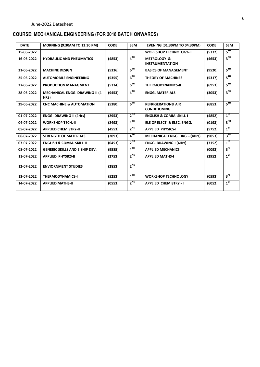# **COURSE: MECHANICAL ENGINEERING (FOR 2018 BATCH ONWARDS)**

| <b>DATE</b> | <b>MORNING (9:30AM TO 12:30 PM)</b>            | <b>CODE</b> | <b>SEM</b>        | <b>EVENING (01:30PM TO 04:30PM)</b>                  | <b>CODE</b> | <b>SEM</b>                                   |
|-------------|------------------------------------------------|-------------|-------------------|------------------------------------------------------|-------------|----------------------------------------------|
| 15-06-2022  |                                                |             |                   | <b>WORKSHOP TECHNOLOGY-III</b>                       | (5332)      | $\mathsf{s}^{\scriptscriptstyle\mathsf{TH}}$ |
| 16-06-2022  | <b>HYDRAULIC AND PNEUMATICS</b>                | (4853)      | $4^{TH}$          | <b>METROLOGY &amp;</b><br><b>INSTRUMENTATION</b>     | (4653)      | 3 <sup>RD</sup>                              |
| 21-06-2022  | <b>MACHINE DESIGN</b>                          | (5336)      | $6^{TH}$          | <b>BASICS OF MANAGEMENT</b>                          | (9520)      | द $^{\scriptscriptstyle\rm TH}$              |
| 25-06-2022  | <b>AUTOMOBILE ENGINEERING</b>                  | (5355)      | $6^{\text{TH}}$   | <b>THEORY OF MACHINES</b>                            | (5317)      | $5^{\text{th}}$                              |
| 27-06-2022  | <b>PRODUCTION MANAGMENT</b>                    | (5334)      | 6 <sup>TH</sup>   | <b>THERMODYNAMICS-II</b>                             | (6953)      | $5^{TH}$                                     |
| 28-06-2022  | <b>MECHANICAL ENGG. DRAWING-II (4)</b><br>HRS) | (9453)      | $4^{TH}$          | <b>ENGG. MATERIALS</b>                               | (3053)      | 3 <sup>RD</sup>                              |
| 29-06-2022  | <b>CNC MACHINE &amp; AUTOMATION</b>            | (5380)      | $6^{TH}$          | <b>REFRIGERATION&amp; AIR</b><br><b>CONDITIONING</b> | (6853)      | $5^{\text{TH}}$                              |
| 01-07-2022  | <b>ENGG. DRAWING-II (4Hrs)</b>                 | (2953)      | $2^{ND}$          | <b>ENGLISH &amp; COMM. SKILL-I</b>                   | (4852)      | $1^{5T}$                                     |
| 04-07-2022  | <b>WORKSHOP TECH.-II</b>                       | (2493)      | $4$ <sup>TH</sup> | ELE OF ELECT. & ELEC. ENGG.                          | (0193)      | 3 <sup>RD</sup>                              |
| 05-07-2022  | <b>APPLIED CHEMISTRY-II</b>                    | (4553)      | $2^{ND}$          | <b>APPLIED PHYSICS-I</b>                             | (5752)      | $1^{5T}$                                     |
| 06-07-2022  | <b>STRENGTH OF MATERIALS</b>                   | (2093)      | $4^{TH}$          | <b>MECHANICAL ENGG. DRG-I(4Hrs)</b>                  | (9053)      | 3 <sup>RD</sup>                              |
| 07-07-2022  | <b>ENGLISH &amp; COMM. SKILL-II</b>            | (0453)      | $2^{ND}$          | <b>ENGG. DRAWING-I (4Hrs)</b>                        | (7152)      | $1^{ST}$                                     |
| 08-07-2022  | <b>GENERIC SKILLS AND E.SHIP DEV.</b>          | (9585)      | $4^{TH}$          | <b>APPLIED MECHANICS</b>                             | (0093)      | $3^{\text{rd}}$                              |
| 11-07-2022  | <b>APPLIED PHYSICS-II</b>                      | (2753)      | $2^{ND}$          | <b>APPLIED MATHS-I</b>                               | (2952)      | $1^{ST}$                                     |
| 12-07-2022  | <b>ENVIORNMENT STUDIES</b>                     | (2853)      | $2^{ND}$          |                                                      |             |                                              |
| 13-07-2022  | <b>THERMODYNAMICS-I</b>                        | (5253)      | $4^{TH}$          | <b>WORKSHOP TECHNOLOGY</b>                           | (0593)      | 3 <sup>rd</sup>                              |
| 14-07-2022  | <b>APPLIED MATHS-II</b>                        | (0553)      | $2^{ND}$          | <b>APPLIED CHEMISTRY - I</b>                         | (6052)      | $1^{ST}$                                     |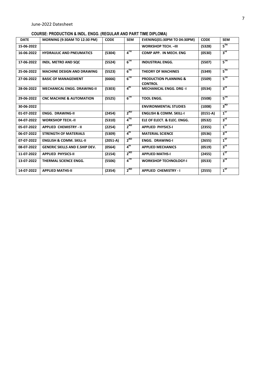#### **COURSE: PRODUCTION & INDL. ENGG. (REGULAR AND PART TIME DIPLOMA)**

| <b>DATE</b> | <b>MORNING (9:30AM TO 12:30 PM)</b>   | <b>CODE</b> | <b>SEM</b>      | <b>EVENING(01:30PM TO 04:30PM)</b>                 | <b>CODE</b> | <b>SEM</b>      |
|-------------|---------------------------------------|-------------|-----------------|----------------------------------------------------|-------------|-----------------|
| 15-06-2022  |                                       |             |                 | <b>WORKSHOP TECH. - III</b>                        | (5328)      | $5^{\text{TH}}$ |
| 16-06-2022  | <b>HYDRAULIC AND PNEUMATICS</b>       | (5304)      | $4^{TH}$        | COMP APP. IN MECH. ENG                             | (0530)      | 3 <sup>rd</sup> |
| 17-06-2022  | <b>INDL. METRO AND SQC</b>            | (5524)      | $6^{TH}$        | <b>INDUSTRIAL ENGG.</b>                            | (5507)      | $5^{\text{th}}$ |
| 25-06-2022  | <b>MACHINE DESIGN AND DRAWING</b>     | (5523)      | $6^{TH}$        | <b>THEORY OF MACHINES</b>                          | (5349)      | $5^{\rm{TH}}$   |
| 27-06-2022  | <b>BASIC OF MANAGEMENT</b>            | (6666)      | $6^{TH}$        | <b>PRODUCTION PLANNING &amp;</b><br><b>CONTROL</b> | (5509)      | $5^{TH}$        |
| 28-06-2022  | <b>MECHANICAL ENGG. DRAWING-II</b>    | (5303)      | 4 <sup>th</sup> | <b>MECHANICAL ENGG. DRG -I</b>                     | (0534)      | 3 <sup>rd</sup> |
| 29-06-2022  | <b>CNC MACHINE &amp; AUTOMATION</b>   | (5525)      | $6^{TH}$        | <b>TOOL ENGG.</b>                                  | (5508)      | $5^{\text{th}}$ |
| 30-06-2022  |                                       |             |                 | <b>ENVIRONMENTAL STUDIES</b>                       | (1008)      | 3 <sup>RD</sup> |
| 01-07-2022  | <b>ENGG. DRAWING-II</b>               | (2454)      | $2^{ND}$        | <b>ENGLISH &amp; COMM. SKILL-I</b>                 | $(0151-A)$  | $1^{ST}$        |
| 04-07-2022  | <b>WORKSHOP TECH.-II</b>              | (5310)      | $4^{TH}$        | ELE OF ELECT. & ELEC. ENGG.                        | (0532)      | 3 <sup>rd</sup> |
| 05-07-2022  | <b>APPLIED CHEMISTRY - II</b>         | (2254)      | $2^{ND}$        | <b>APPLIED PHYSICS-I</b>                           | (2355)      | $1^{ST}$        |
| 06-07-2022  | <b>STRENGTH OF MATERIALS</b>          | (5309)      | $4^{\text{th}}$ | <b>MATERIAL SCIENCE</b>                            | (0536)      | $3^{\text{rd}}$ |
| 07-07-2022  | <b>ENGLISH &amp; COMM. SKILL-II</b>   | $(2051-A)$  | $2^{ND}$        | <b>ENGG. DRAWING-I</b>                             | (2655)      | $1^{5T}$        |
| 08-07-2022  | <b>GENERIC SKILLS AND E.SHIP DEV.</b> | (0564)      | 4 <sup>th</sup> | <b>APPLIED MECHANICS</b>                           | (0519)      | $3^{\text{rd}}$ |
| 11-07-2022  | <b>APPLIED PHYSICS-II</b>             | (2154)      | $2^{ND}$        | <b>APPLIED MATHS-I</b>                             | (2455)      | $1^{ST}$        |
| 13-07-2022  | <b>THERMAL SCIENCE ENGG.</b>          | (5506)      | $4^{TH}$        | <b>WORKSHOP TECHNOLOGY-I</b>                       | (0533)      | 3 <sup>rd</sup> |
| 14-07-2022  | <b>APPLIED MATHS-II</b>               | (2354)      | $2^{ND}$        | <b>APPLIED CHEMISTRY - I</b>                       | (2555)      | $1^{ST}$        |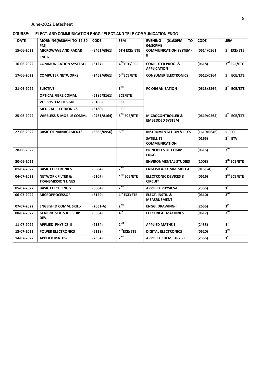|  | COURSE: ELECT. AND COMMUNICATION ENGG / ELECT.AND TELE COMMUNICATION ENGG |  |  |
|--|---------------------------------------------------------------------------|--|--|
|  |                                                                           |  |  |

| <b>DATE</b> | MORNING(9:30AM TO 12:30<br>PM)                           | <b>CODE</b> | <b>SEM</b>              | <b>EVENING</b><br>(01:30PM<br>то<br>04:30PM)           | <b>CODE</b> | <b>SEM</b>              |
|-------------|----------------------------------------------------------|-------------|-------------------------|--------------------------------------------------------|-------------|-------------------------|
| 15-06-2022  | <b>MICROWAVE AND RADAR</b>                               | (8461/6861) | <b>6TH ECE/ ETE</b>     | <b>COMMUNICATION SYSTEM-</b>                           | (0614/0561) | 5TH ECE/ETE             |
|             | ENGG.                                                    |             |                         | Ш.                                                     |             |                         |
| 16-06-2022  | <b>COMMUNICATION SYSTEM-I</b>                            | (6127)      | $4^{TH}$ ETE/ECE        | <b>COMPUTER PROG. &amp;</b><br><b>APPLICATION</b>      | (0618)      | 3 <sup>rd</sup> ECE/ETE |
| 17-06-2022  | <b>COMPUTER NETWORKS</b>                                 | (2462/6061) | 6 <sup>TH</sup> ECE/ETE | <b>CONSUMER ELECTRONICS</b>                            | (0612/0364) | 5 <sup>TH</sup> ECE/ETE |
| 21-06-2022  | <b>ELECTIVE-</b>                                         |             | $6^{TH}$                | <b>PC ORGANISATION</b>                                 | (0613/2264) | 5TH ECE/ETE             |
|             | <b>OPTICAL FIBRE COMM.</b>                               | (6186/8161) | ECE/ETE                 |                                                        |             |                         |
|             | <b>VLSI SYSTEM DESIGN</b>                                | (6188)      | <b>ECE</b>              |                                                        |             |                         |
|             | <b>MEDICAL ELECTRONICS</b>                               | (6180)      | <b>ECE</b>              |                                                        |             |                         |
| 25-06-2022  | <b>WIRELESS &amp; MOBILE COMM.</b>                       | (0761/8164) | $6TH$ ECE/ETE           | <b>MICROCONTROLLER &amp;</b><br><b>EMBEDDED SYSTEM</b> | (0619/0265) | $5TH$ ECE/ETE           |
| 27-06-2022  | <b>BASIC OF MANAGEMENTS</b>                              | (6666/0956) | 6 <sup>TH</sup>         | <b>INSTRUMENTATION &amp; PLCS</b>                      | (1619/0646) | 5 <sup>TH</sup> ECE     |
|             |                                                          |             |                         | <b>SATELLITE</b><br><b>COMMUNICATION</b>               | (0165)      | $5TH$ ETV               |
| 28-06-2022  |                                                          |             |                         | PRINCIPLES OF COMM.<br>ENGG.                           | (0615)      | $3^{\text{rd}}$         |
| 30-06-2022  |                                                          |             |                         | <b>ENVIRONMENTAL STUDIES</b>                           | (1008)      | 3 <sup>RD</sup> ECE/ETE |
| 01-07-2022  | <b>BASIC ELECTRONICS</b>                                 | (0664)      | $2^{ND}$                | <b>ENGLISH &amp; COMM. SKILL-I</b>                     | $(0151-A)$  | 1 <sup>st</sup>         |
| 04-07-2022  | <b>NETWORK FILTER &amp;</b><br><b>TRANSMISSION LINES</b> | (6107)      | 4TH ECE/ETE             | <b>ELECTRONIC DEVICES &amp;</b><br><b>CIRCUIT</b>      | (0616)      | 3rd ECE/ETE             |
| 05-07-2022  | <b>BASIC ELECT. ENGG.</b>                                | (0064)      | $2^{ND}$                | <b>APPLIED PHYSICS-I</b>                               | (2355)      | 1 <sup>st</sup>         |
| 06-07-2022  | <b>MICROPROCESSOR</b>                                    | (6129)      | 4 <sup>th</sup> ECE/ETE | <b>ELECT. INSTR. &amp;</b><br><b>MEASRUEMENT</b>       | (0610)      | $3^{\text{rd}}$         |
| 07-07-2022  | <b>ENGLISH &amp; COMM. SKILL-II</b>                      | $(2051-A)$  | $2^{ND}$                | <b>ENGG. DRAWING-I</b>                                 | (2655)      | 1 <sup>st</sup>         |
| 08-07-2022  | <b>GENERIC SKILLS &amp; E.SHIP</b><br>DEV.               | (0564)      | 4 <sup>th</sup>         | <b>ELECTRICAL MACHINES</b>                             | (0617)      | $3^{\text{rd}}$         |
| 11-07-2022  | <b>APPLIED PHYSICS-II</b>                                | (2154)      | $2^{ND}$                | <b>APPLIED MATHS-I</b>                                 | (2455)      | 1 <sup>st</sup>         |
| 13-07-2022  | <b>POWER ELECTRONICS</b>                                 | (6128)      | 4 <sup>th</sup> ECE/ETE | <b>DIGITAL ELECTRONICS</b>                             | (0620)      | $3^{\text{rd}}$         |
| 14-07-2022  | <b>APPLIED MATHS-II</b>                                  | (2354)      | $2^{ND}$                | <b>APPLIED CHEMISTRY - I</b>                           | (2555)      | 1 <sup>st</sup>         |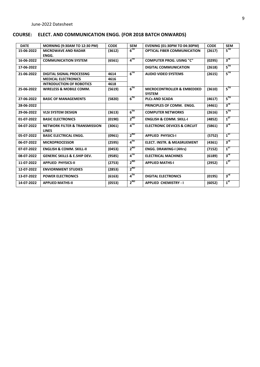# **COURSE: ELECT. AND COMMUNICATION ENGG. (FOR 2018 BATCH ONWARDS)**

| <b>DATE</b> | <b>MORNING (9:30AM TO 12:30 PM)</b>                      | <b>CODE</b> | <b>SEM</b>        | <b>EVENING (01:30PM TO 04:30PM)</b>                    | <b>CODE</b> | <b>SEM</b>      |
|-------------|----------------------------------------------------------|-------------|-------------------|--------------------------------------------------------|-------------|-----------------|
| 15-06-2022  | <b>MICROWAVE AND RADAR</b>                               | (3612)      | $6^{TH}$          | <b>OPTICAL FIBER COMMUNICATION</b>                     | (2617)      | $5^{\text{TH}}$ |
|             | ENGG.                                                    |             |                   |                                                        |             |                 |
| 16-06-2022  | <b>COMMUNICATION SYSTEM</b>                              | (6561)      | $4^{TH}$          | <b>COMPUTER PROG. USING "C"</b>                        | (0295)      | $3^{\text{rd}}$ |
| 17-06-2022  |                                                          |             |                   | <b>DIGITAL COMMUNICATION</b>                           | (2618)      | $5^{TH}$        |
| 21-06-2022  | <b>DIGITAL SIGNAL PROCESSNG</b>                          | 4614        | $6^{TH}$          | <b>AUDIO VIDEO SYSTEMS</b>                             | (2615)      | $5^{\text{TH}}$ |
|             | <b>MEDICAL ELECTRONICS</b>                               | 4616        |                   |                                                        |             |                 |
|             | <b>INTRODUCTION OF ROBOTICS</b>                          | 4618        |                   |                                                        |             |                 |
| 25-06-2022  | <b>WIRELESS &amp; MOBILE COMM.</b>                       | (5619)      | $6^{TH}$          | <b>MICROCONTROLLER &amp; EMBEDDED</b><br><b>SYSTEM</b> | (3610)      | $5^{\rm{TH}}$   |
| 27-06-2022  | <b>BASIC OF MANAGEMENTS</b>                              | (5820)      | $6^{TH}$          | <b>PLCs AND SCADA</b>                                  | (4617)      | $5^{TH}$        |
| 28-06-2022  |                                                          |             |                   | PRINCIPLES OF COMM. ENGG.                              | (4461)      | $3^{\text{rd}}$ |
| 29-06-2022  | <b>VLSI SYSTEM DESIGN</b>                                | (3613)      | 6 <sup>TH</sup>   | <b>COMPUTER NETWORKS</b>                               | (2616)      | $5^{\text{th}}$ |
| 01-07-2022  | <b>BASIC ELECTRONICS</b>                                 | (0190)      | $2^{ND}$          | <b>ENGLISH &amp; COMM. SKILL-I</b>                     | (4852)      | $1^{ST}$        |
| 04-07-2022  | <b>NETWORK FILTER &amp; TRANSMISSION</b><br><b>LINES</b> | (3061)      | $4^{TH}$          | <b>ELECTRONIC DEVICES &amp; CIRCUIT</b>                | (5861)      | 3 <sup>rd</sup> |
| 05-07-2022  | <b>BASIC ELECTRICAL ENGG.</b>                            | (0961)      | $2^{ND}$          | <b>APPLIED PHYSICS-I</b>                               | (5752)      | $1^{ST}$        |
| 06-07-2022  | <b>MICROPROCESSOR</b>                                    | (2595)      | $4$ <sup>TH</sup> | <b>ELECT. INSTR. &amp; MEASRUEMENT</b>                 | (4361)      | 3 <sup>rd</sup> |
| 07-07-2022  | <b>ENGLISH &amp; COMM. SKILL-II</b>                      | (0453)      | $2^{ND}$          | <b>ENGG. DRAWING-I (4Hrs)</b>                          | (7152)      | $1^{ST}$        |
| 08-07-2022  | <b>GENERIC SKILLS &amp; E.SHIP DEV.</b>                  | (9585)      | $4^{TH}$          | <b>ELECTRICAL MACHINES</b>                             | (6189)      | $3^{\text{rd}}$ |
| 11-07-2022  | <b>APPLIED PHYSICS-II</b>                                | (2753)      | $2^{ND}$          | <b>APPLIED MATHS-I</b>                                 | (2952)      | $1^{ST}$        |
| 12-07-2022  | <b>ENVIORNMENT STUDIES</b>                               | (2853)      | $2^{ND}$          |                                                        |             |                 |
| 13-07-2022  | <b>POWER ELECTRONICS</b>                                 | (6163)      | $4^{TH}$          | <b>DIGITAL ELECTRONICS</b>                             | (0195)      | 3 <sup>rd</sup> |
| 14-07-2022  | <b>APPLIED MATHS-II</b>                                  | (0553)      | $2^{ND}$          | <b>APPLIED CHEMISTRY - I</b>                           | (6052)      | 1 <sup>st</sup> |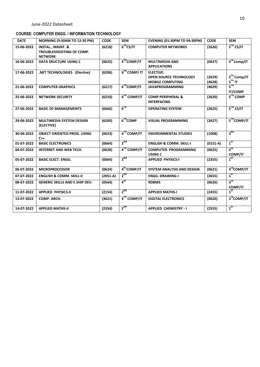#### **COURSE: COMPUTER ENGG. / INFORMATION TECHNOLOGY**

| <b>DATE</b> | MORNING (9:30AM TO 12:30 PM)                                               | <b>CODE</b> | <b>SEM</b>      | <b>EVENING (01:30PM TO 04:30PM)</b>                                          | <b>CODE</b>      | <b>SEM</b>                        |
|-------------|----------------------------------------------------------------------------|-------------|-----------------|------------------------------------------------------------------------------|------------------|-----------------------------------|
| 15-06-2022  | <b>INSTAL., MAINT. &amp;</b><br>TROUBLESHOOTING OF COMP.<br><b>NETWORK</b> | (6218)      | $6TH$ CS/IT     | <b>COMPUTER NETWORKS</b>                                                     | (2626)           | 5 <sup>TH</sup> CS/IT             |
| 16-06-2022  | <b>DATA SRUCTURE USING C</b>                                               | (0622)      | 4TH COMP/IT     | <b>MULTIMEDIA AND</b><br><b>APPLICATIONS</b>                                 | (0627)           | 3 <sup>rd</sup> Comp/IT           |
| 17-06-2022  | .NET TECHNOLOGIES (Elective)                                               | (6206)      | $6TH$ COMP/IT   | <b>ELECTIVE:</b><br><b>OPEN SOURCE TECHNOLOGY</b><br><b>MOBILE COMPUTING</b> | (2629)<br>(4628) | 5TH Comp/IT<br>$5TH$ IT           |
| 21-06-2022  | <b>COMPUTER GRAPHICS</b>                                                   | (6217)      | 6THCOMP/IT      | <b>JAVAPROGRAMMING</b>                                                       | (4629)           | $5^{\text{TH}}$<br><b>IT/COMP</b> |
| 25-06-2022  | <b>NETWORK SECURITY</b>                                                    | (6210)      | 6TH COMP/IT     | <b>COMP PERIPHERAL &amp;</b><br><b>INTERFACING</b>                           | (2620)           | $5TH$ COMP                        |
| 27-06-2022  | <b>BASIC OF MANAGEMENTS</b>                                                | (6666)      | $6^{TH}$        | <b>OPERATING SYSTEM</b>                                                      | (2625)           | $5TH$ CS/IT                       |
| 29-06-2022  | MULTIMEDIA SYSTEM DESIGN<br>(ELECTIVE)                                     | (6200)      | $6TH$ COMP      | <b>VISUAL PROGRAMMING</b>                                                    | (2627)           | 5THCOMP/IT                        |
| 30-06-2022  | <b>OBJECT ORIENTED PROG. USING</b><br>$C++$                                | (0623)      | 4TH COMP/IT     | <b>ENVIRONMENTAL STUDIES</b>                                                 | (1008)           | 3 <sup>RD</sup>                   |
| 01-07-2022  | <b>BASIC ELECTRONICS</b>                                                   | (0664)      | $2^{ND}$        | <b>ENGLISH &amp; COMM. SKILL-I</b>                                           | $(0151-A)$       | $1^{ST}$                          |
| 04-07-2022  | <b>INTERNET AND WEB TECH.</b>                                              | (0628)      | 4TH COMP/IT     | <b>COMPUTER PROGRAMMING</b><br>USING C                                       | (0625)           | $3^{\text{rd}}$<br><b>COMP/IT</b> |
| 05-07-2022  | <b>BASIC ELECT. ENGG.</b>                                                  | (0064)      | $2^{ND}$        | <b>APPLIED PHYSICS-I</b>                                                     | (2355)           | $1^{ST}$                          |
| 06-07-2022  | <b>MICROPROCESSOR</b>                                                      | (0624)      | $4th$ COMP/IT   | <b>SYSTEM ANALYSIS AND DESIGN</b>                                            | (0621)           | 3 <sup>rd</sup> COMP/IT           |
| 07-07-2022  | <b>ENGLISH &amp; COMM. SKILL-II</b>                                        | $(2051-A)$  | $2^{ND}$        | <b>ENGG. DRAWING-I</b>                                                       | (2655)           | $1^{5T}$                          |
| 08-07-2022  | <b>GENERIC SKILLS AND E.SHIP DEV.</b>                                      | (0564)      | 4 <sup>th</sup> | <b>RDBMS</b>                                                                 | (0626)           | 3 <sup>rd</sup><br><b>COMP/IT</b> |
| 11-07-2022  | <b>APPLIED PHYSICS-II</b>                                                  | (2154)      | $2^{ND}$        | <b>APPLIED MATHS-I</b>                                                       | (2455)           | $1^{ST}$                          |
| 13-07-2022  | COMP. ARCH.                                                                | (3621)      | 4TH COMP/IT     | <b>DIGITAL ELECTRONICS</b>                                                   | (0620)           | 3 <sup>rd</sup> COMP/IT           |
| 14-07-2022  | <b>APPLIED MATHS-II</b>                                                    | (2354)      | $2^{ND}$        | <b>APPLIED CHEMISTRY - I</b>                                                 | (2555)           | $1^{5T}$                          |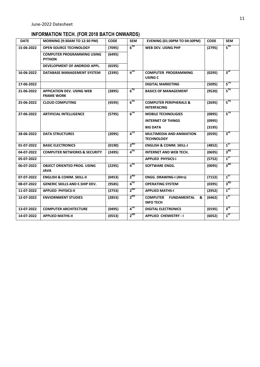# **INFORMATION TECH. (FOR 2018 BATCH ONWARDS)**

| <b>DATE</b> | <b>MORNING (9:30AM TO 12:30 PM)</b>                   | <b>CODE</b> | <b>SEM</b>      | <b>EVENING (01:30PM TO 04:30PM)</b>                            | <b>CODE</b> | <b>SEM</b>      |
|-------------|-------------------------------------------------------|-------------|-----------------|----------------------------------------------------------------|-------------|-----------------|
| 15-06-2022  | <b>OPEN SOURCE TECHNOLOGY</b>                         | (7095)      | 6 <sup>TH</sup> | WEB DEV. USING PHP                                             | (2795)      | $5^{TH}$        |
|             | <b>COMPUTER PROGRAMMING USING</b><br><b>PYTHON</b>    | (6495)      |                 |                                                                |             |                 |
|             | DEVELOPMENT OF ANDROID APPL.                          | (6595)      |                 |                                                                |             |                 |
| 16-06-2022  | DATABASE MANAGEMENT SYSTEM                            | (2395)      | $4^{TH}$        | <b>COMPUTER PROGRAMMING</b><br>USING C                         | (0295)      | $3^{\text{rd}}$ |
| 17-06-2022  |                                                       |             |                 | <b>DIGITAL MARKETING</b>                                       | (5095)      | $5^{\text{th}}$ |
| 21-06-2022  | <b>APPICATION DEV. USING WEB</b><br><b>FRAME WORK</b> | (2895)      | 6 <sup>TH</sup> | <b>BASICS OF MANAGEMENT</b>                                    | (9520)      | 5 <sup>TH</sup> |
| 25-06-2022  | <b>CLOUD COMPUTING</b>                                | (4595)      | $6^{TH}$        | <b>COMPUTER PERIPHERALS &amp;</b><br><b>INTERFACING</b>        | (2695)      | $5^{\text{TH}}$ |
| 27-06-2022  | <b>ARTIFICIAL INTELLIGENCE</b>                        | (5795)      | $6^{TH}$        | <b>MOBILE TECHNOLIGIES</b>                                     | (0895)      | $5^{\text{th}}$ |
|             |                                                       |             |                 | <b>INTERNET OF THINGS</b>                                      | (0995)      |                 |
|             |                                                       |             |                 | <b>BIG DATA</b>                                                | (3195)      |                 |
| 28-06-2022  | <b>DATA STRUCTURES</b>                                | (2095)      | $4^{TH}$        | <b>MULTIMEDIA AND ANIMATION</b><br><b>TECHNOLOGY</b>           | (0595)      | $3^{\text{rd}}$ |
| 01-07-2022  | <b>BASIC ELECTRONICS</b>                              | (0190)      | $2^{ND}$        | <b>ENGLISH &amp; COMM. SKILL-I</b>                             | (4852)      | $1^{5T}$        |
| 04-07-2022  | <b>COMPUTER NETWORKS &amp; SECURITY</b>               | (2495)      | $4^{TH}$        | <b>INTERNET AND WEB TECH.</b>                                  | (0695)      | 3 <sup>RD</sup> |
| 05-07-2022  |                                                       |             |                 | <b>APPLIED PHYSICS-I</b>                                       | (5752)      | $1^{ST}$        |
| 06-07-2022  | <b>OBJECT ORIENTED PROG. USING</b><br><b>JAVA</b>     | (2295)      | $4^{TH}$        | <b>SOFTWARE ENGG.</b>                                          | (0095)      | 3 <sup>RD</sup> |
| 07-07-2022  | <b>ENGLISH &amp; COMM. SKILL-II</b>                   | (0453)      | $2^{ND}$        | <b>ENGG. DRAWING-I (4Hrs)</b>                                  | (7152)      | $1^{ST}$        |
| 08-07-2022  | <b>GENERIC SKILLS AND E.SHIP DEV.</b>                 | (9585)      | $4^{TH}$        | <b>OPERATING SYSTEM</b>                                        | (0395)      | 3 <sup>RD</sup> |
| 11-07-2022  | <b>APPLIED PHYSICS-II</b>                             | (2753)      | $2^{ND}$        | <b>APPLIED MATHS-I</b>                                         | (2952)      | $1^{ST}$        |
| 12-07-2022  | <b>ENVIORNMENT STUDIES</b>                            | (2853)      | $2^{ND}$        | <b>COMPUTER</b><br><b>FUNDAMENTAL</b><br>&<br><b>INFO TECH</b> | (6462)      | 1 <sup>ST</sup> |
| 13-07-2022  | <b>COMPUTER ARCHITECTURE</b>                          | (0495)      | $4^{TH}$        | <b>DIGITAL ELECTRONICS</b>                                     | (0195)      | 3 <sup>rd</sup> |
| 14-07-2022  | <b>APPLIED MATHS-II</b>                               | (0553)      | $2^{ND}$        | <b>APPLIED CHEMISTRY - I</b>                                   | (6052)      | $1^{ST}$        |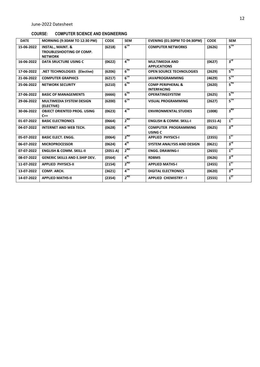#### **COURSE: COMPUTER SCIENCE AND ENGINEERING**

| <b>DATE</b> | <b>MORNING (9:30AM TO 12:30 PM)</b>                                               | <b>CODE</b> | <b>SEM</b>      | <b>EVENING (01:30PM TO 04:30PM)</b>                | <b>CODE</b> | <b>SEM</b>      |
|-------------|-----------------------------------------------------------------------------------|-------------|-----------------|----------------------------------------------------|-------------|-----------------|
| 15-06-2022  | <b>INSTAL., MAINT. &amp;</b><br><b>TROUBLESHOOTING OF COMP.</b><br><b>NETWORK</b> | (6218)      | $6^{TH}$        | <b>COMPUTER NETWORKS</b>                           | (2626)      | $5^{\text{TH}}$ |
| 16-06-2022  | <b>DATA SRUCTURE USING C</b>                                                      | (0622)      | $4^{TH}$        | <b>MULTIMEDIA AND</b><br><b>APPLICATIONS</b>       | (0627)      | $3^{\text{rd}}$ |
| 17-06-2022  | .NET TECHNOLOGIES (Elective)                                                      | (6206)      | $6^{TH}$        | <b>OPEN SOURCE TECHNOLOGIES</b>                    | (2629)      | $5^{\text{TH}}$ |
| 21-06-2022  | <b>COMPUTER GRAPHICS</b>                                                          | (6217)      | $6^{TH}$        | <b>JAVAPROGRAMMING</b>                             | (4629)      | 5TH             |
| 25-06-2022  | <b>NETWORK SECURITY</b>                                                           | (6210)      | $6^{TH}$        | <b>COMP PERIPHERAL &amp;</b><br><b>INTERFACING</b> | (2620)      | $5^{\text{TH}}$ |
| 27-06-2022  | <b>BASIC OF MANAGEMENTS</b>                                                       | (6666)      | $6^{TH}$        | <b>OPERATINGSYSTEM</b>                             | (2625)      | $5^{\text{TH}}$ |
| 29-06-2022  | <b>MULTIMEDIA SYSTEM DESIGN</b><br>(ELECTIVE)                                     | (6200)      | $6^{TH}$        | <b>VISUAL PROGRAMMING</b>                          | (2627)      | $5^{\rm TH}$    |
| 30-06-2022  | <b>OBJECT ORIENTED PROG. USING</b><br>$C++$                                       | (0623)      | $4^{TH}$        | <b>ENVIRONMENTAL STUDIES</b>                       | (1008)      | $3^{RD}$        |
| 01-07-2022  | <b>BASIC ELECTRONICS</b>                                                          | (0664)      | $2^{ND}$        | <b>ENGLISH &amp; COMM. SKILL-I</b>                 | $(0151-A)$  | $1^{5T}$        |
| 04-07-2022  | <b>INTERNET AND WEB TECH.</b>                                                     | (0628)      | $4^{TH}$        | <b>COMPUTER PROGRAMMING</b><br>USING C             | (0625)      | $3^{\text{rd}}$ |
| 05-07-2022  | <b>BASIC ELECT. ENGG.</b>                                                         | (0064)      | $2^{ND}$        | <b>APPLIED PHYSICS-I</b>                           | (2355)      | $1^{5T}$        |
| 06-07-2022  | <b>MICROPROCESSOR</b>                                                             | (0624)      | 4 <sup>th</sup> | SYSTEM ANALYSIS AND DESIGN                         | (0621)      | $3^{\text{rd}}$ |
| 07-07-2022  | <b>ENGLISH &amp; COMM. SKILL-II</b>                                               | $(2051-A)$  | $2^{ND}$        | <b>ENGG. DRAWING-I</b>                             | (2655)      | $1^{57}$        |
| 08-07-2022  | <b>GENERIC SKILLS AND E.SHIP DEV.</b>                                             | (0564)      | $4^{\text{th}}$ | <b>RDBMS</b>                                       | (0626)      | $3^{\text{rd}}$ |
| 11-07-2022  | <b>APPLIED PHYSICS-II</b>                                                         | (2154)      | $2^{ND}$        | <b>APPLIED MATHS-I</b>                             | (2455)      | $1^{57}$        |
| 13-07-2022  | COMP. ARCH.                                                                       | (3621)      | $4^{TH}$        | <b>DIGITAL ELECTRONICS</b>                         | (0620)      | $3^{\text{rd}}$ |
| 14-07-2022  | <b>APPLIED MATHS-II</b>                                                           | (2354)      | $2^{ND}$        | <b>APPLIED CHEMISTRY - I</b>                       | (2555)      | $1^{57}$        |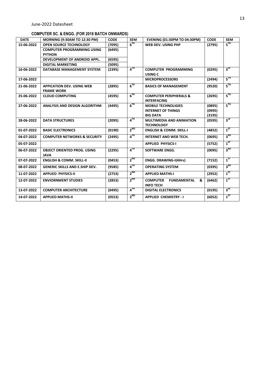# **COMPUTER SC. & ENGG. (FOR 2018 BATCH ONWARDS)**

| <b>DATE</b> | <b>MORNING (9:30AM TO 12:30 PM)</b>                   | <b>CODE</b> | <b>SEM</b>        | <b>EVENING (01:30PM TO 04:30PM)</b>                            | <b>CODE</b> | <b>SEM</b>      |
|-------------|-------------------------------------------------------|-------------|-------------------|----------------------------------------------------------------|-------------|-----------------|
| 15-06-2022  | <b>OPEN SOURCE TECHNOLOGY</b>                         | (7095)      | $6^{TH}$          | <b>WEB DEV. USING PHP</b>                                      | (2795)      | $5^{\text{TH}}$ |
|             | <b>COMPUTER PROGRAMMING USING</b>                     | (6495)      |                   |                                                                |             |                 |
|             | <b>PYTHON</b>                                         |             |                   |                                                                |             |                 |
|             | DEVELOPMENT OF ANDROID APPL.                          | (6595)      |                   |                                                                |             |                 |
|             | <b>DIGITAL MARKETING</b>                              | (5095)      |                   |                                                                |             |                 |
| 16-06-2022  | DATABASE MANAGEMENT SYSTEM                            | (2395)      | 4 <sup>TH</sup>   | <b>COMPUTER PROGRAMMING</b><br><b>USING C</b>                  | (0295)      | 3 <sup>rd</sup> |
| 17-06-2022  |                                                       |             |                   | <b>MICROPROCESSORS</b>                                         | (2494)      | $5^{\text{TH}}$ |
| 21-06-2022  | <b>APPICATION DEV. USING WEB</b><br><b>FRAME WORK</b> | (2895)      | $6^{TH}$          | <b>BASICS OF MANAGEMENT</b>                                    | (9520)      | $5^{\text{th}}$ |
| 25-06-2022  | <b>CLOUD COMPUTING</b>                                | (4595)      | $6^{TH}$          | <b>COMPUTER PERIPHERALS &amp;</b><br><b>INTERFACING</b>        | (2695)      | $5^{\text{TH}}$ |
| 27-06-2022  | <b>ANALYSIS AND DESIGN ALGORITHM</b>                  | (4495)      | $6^{TH}$          | <b>MOBILE TECHNOLIGIES</b>                                     | (0895)      | $5^{\text{TH}}$ |
|             |                                                       |             |                   | <b>INTERNET OF THINGS</b>                                      | (0995)      |                 |
|             |                                                       |             |                   | <b>BIG DATA</b>                                                | (3195)      |                 |
| 28-06-2022  | <b>DATA STRUCTURES</b>                                | (2095)      | $4$ <sup>TH</sup> | <b>MULTIMEDIA AND ANIMATION</b><br><b>TECHNOLOGY</b>           | (0595)      | $3^{\text{rd}}$ |
| 01-07-2022  | <b>BASIC ELECTRONICS</b>                              | (0190)      | $2^{ND}$          | <b>ENGLISH &amp; COMM. SKILL-I</b>                             | (4852)      | $1^{5T}$        |
| 04-07-2022  | <b>COMPUTER NETWORKS &amp; SECURITY</b>               | (2495)      | $4^{TH}$          | <b>INTERNET AND WEB TECH.</b>                                  | (0695)      | 3 <sup>RD</sup> |
| 05-07-2022  |                                                       |             |                   | <b>APPLIED PHYSICS-I</b>                                       | (5752)      | $1^{5T}$        |
| 06-07-2022  | <b>OBJECT ORIENTED PROG. USING</b><br><b>JAVA</b>     | (2295)      | $4^{TH}$          | <b>SOFTWARE ENGG.</b>                                          | (0095)      | 3 <sup>RD</sup> |
| 07-07-2022  | <b>ENGLISH &amp; COMM. SKILL-II</b>                   | (0453)      | $2^{ND}$          | <b>ENGG. DRAWING-I(4Hrs)</b>                                   | (7152)      | $1^{5T}$        |
| 08-07-2022  | <b>GENERIC SKILLS AND E.SHIP DEV.</b>                 | (9585)      | $4^{TH}$          | <b>OPERATING SYSTEM</b>                                        | (0395)      | 3 <sup>RD</sup> |
| 11-07-2022  | <b>APPLIED PHYSICS-II</b>                             | (2753)      | $2^{ND}$          | <b>APPLIED MATHS-I</b>                                         | (2952)      | $1^{ST}$        |
| 12-07-2022  | <b>ENVIORNMENT STUDIES</b>                            | (2853)      | $2^{ND}$          | <b>COMPUTER</b><br><b>FUNDAMENTAL</b><br>&<br><b>INFO TECH</b> | (6462)      | $1^{ST}$        |
| 13-07-2022  | <b>COMPUTER ARCHITECTURE</b>                          | (0495)      | $4^{TH}$          | <b>DIGITAL ELECTRONICS</b>                                     | (0195)      | $3^{\text{rd}}$ |
| 14-07-2022  | <b>APPLIED MATHS-II</b>                               | (0553)      | $2^{ND}$          | <b>APPLIED CHEMISTRY - I</b>                                   | (6052)      | $1^{ST}$        |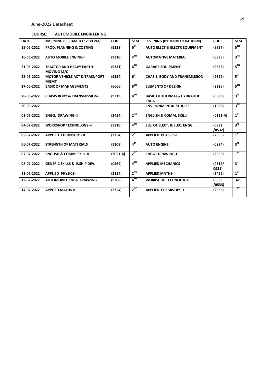#### **COURSE: AUTOMOBILE ENGINEERING**

| <b>DATE</b> | <b>MORNING (9:30AM TO 12:30 PM)</b>                     | <b>CODE</b> | <b>SEM</b>      | <b>EVENING (01:30PM TO 04:30PM)</b>             | <b>CODE</b>      | <b>SEM</b>      |
|-------------|---------------------------------------------------------|-------------|-----------------|-------------------------------------------------|------------------|-----------------|
| 15-06-2022  | <b>PROD. PLANNING &amp; COSTING</b>                     | (9338)      | $6^{\text{th}}$ | <b>AUTO ELECT &amp; ELECTR EQUIPMENT</b>        | (9327)           | $5^{\rm{TH}}$   |
| 16-06-2022  | <b>AUTO MOBILE ENGINE-II</b>                            | (9310)      | $4^{TH}$        | <b>AUTOMATIVE MATERIAL</b>                      | (0935)           | 3 <sup>RD</sup> |
| 21-06-2022  | <b>TRACTOR AND HEAVY EARTH</b><br><b>MOVING M/C</b>     | (9331)      | $6^{TH}$        | <b>GARAGE EQUIPMENT</b>                         | (9325)           | $5^{\text{TH}}$ |
| 25-06-2022  | <b>MOTOR VEHICLE ACT &amp; TRASNPORT</b><br><b>MGMT</b> | (9334)      | 6 <sup>th</sup> | <b>CHASIS, BODY AND TRANSMISSION-II</b>         | (9322)           | $5^{\text{th}}$ |
| 27-06-2022  | <b>BASIC OF MANAGEMENTS</b>                             | (6666)      | $6^{TH}$        | <b>ELEMENTS OF DESIGN</b>                       | (9326)           | $5^{\text{TH}}$ |
| 28-06-2022  | <b>CHASIS BODY &amp; TRANSMISSION-I</b>                 | (9319)      | $4^{TH}$        | <b>BASIC OF THERMAL&amp; HYDRAULIC</b><br>ENGG. | (0930)           | $3^{\text{rd}}$ |
| 30-06-2022  |                                                         |             |                 | <b>ENVIRONMENTAL STUDIES</b>                    | (1008)           | $3^{RD}$        |
| 01-07-2022  | <b>ENGG. DRAWING-II</b>                                 | (2454)      | $2^{nd}$        | <b>ENGLISH &amp; COMM. SKILL-I</b>              | $(0151-A)$       | $1^{ST}$        |
| 04-07-2022  | <b>WORKSHOP TECHNOLOGY-II</b>                           | (5310)      | $4^{TH}$        | ELE. OF ELECT. & ELEC. ENGG.                    | (0932<br>/0532)  | $3^{\text{rd}}$ |
| 05-07-2022  | <b>APPLIED CHEMISTRY - II</b>                           | (2254)      | $2^{ND}$        | <b>APPLIED PHYSICS-I</b>                        | (2355)           | $1^{ST}$        |
| 06-07-2022  | <b>STRENGTH OF MATERIALS</b>                            | (5309)      | 4 <sup>th</sup> | <b>AUTO ENGINE</b>                              | (0934)           | $3^{\text{rd}}$ |
| 07-07-2022  | <b>ENGLISH &amp; COMM. SKILL-II</b>                     | $(2051-A)$  | $2^{ND}$        | <b>ENGG. DRAWING-I</b>                          | (2655)           | 1 <sup>st</sup> |
| 08-07-2022  | <b>GENERIC SKILLS &amp; E.SHIP DEV.</b>                 | (0564)      | $4^{TH}$        | <b>APPLIED MECHANICS</b>                        | (0519/<br>0931)  | $3^{\text{rd}}$ |
| 11-07-2022  | <b>APPLIED PHYSICS-II</b>                               | (2154)      | $2^{ND}$        | <b>APPLIED MATHS-I</b>                          | (2455)           | $1^{5T}$        |
| 13-07-2022  | <b>AUTOMOBILE ENGG. DRAWING</b>                         | (9300)      | 4 <sup>TH</sup> | <b>WORKSHOP TECHNOLOGY</b>                      | (0933)<br>/0533) | 3rd             |
| 14-07-2022  | <b>APPLIED MATHS-II</b>                                 | (2354)      | $2^{ND}$        | <b>APPLIED CHEMISTRY - I</b>                    | (2555)           | $1^{ST}$        |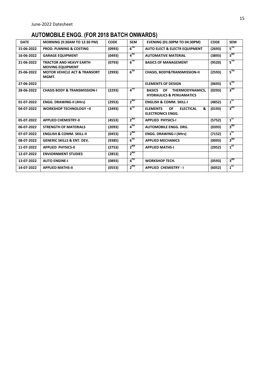# **AUTOMOBILE ENGG. (FOR 2018 BATCH ONWARDS)**

| <b>DATE</b> | <b>MORNING (9:30AM TO 12:30 PM)</b>                       | <b>CODE</b> | <b>SEM</b> | <b>EVENING (01:30PM TO 04:30PM)</b>                                            | <b>CODE</b> | <b>SEM</b>      |
|-------------|-----------------------------------------------------------|-------------|------------|--------------------------------------------------------------------------------|-------------|-----------------|
| 15-06-2022  | <b>PROD. PLNNING &amp; COSTING</b>                        | (0993)      | $6^{TH}$   | <b>AUTO ELECT &amp; ELECTR EQUIPMENT</b>                                       | (2693)      | $5^{TH}$        |
| 16-06-2022  | <b>GARAGE EQUIPMENT</b>                                   | (0493)      | $4^{TH}$   | <b>AUTOMATIVE MATERIAL</b>                                                     | (3893)      | 3 <sup>RD</sup> |
| 21-06-2022  | <b>TRACTOR AND HEAVY EARTH</b><br><b>MOVING EQUIPMENT</b> | (0793)      | $6^{TH}$   | <b>BASICS OF MANAGEMENT</b>                                                    | (9520)      | $5^{\text{TH}}$ |
| 25-06-2022  | <b>MOTOR VEHICLE ACT &amp; TRANSORT</b><br>MGMT.          | (2993)      | $6^{TH}$   | <b>CHASIS, BODY&amp;TRANSMISSION-II</b>                                        | (2593)      | $5^{\text{TH}}$ |
| 27-06-2022  |                                                           |             |            | <b>ELEMENTS OF DESIGN</b>                                                      | (0693)      | $5^{\text{TH}}$ |
| 28-06-2022  | <b>CHASIS BODY &amp; TRANSMISSION-I</b>                   | (2293)      | $4^{TH}$   | THERMODYNAMICS.<br><b>BASICS</b><br>OF.<br><b>HYDRAULICS &amp; PENUAMATICS</b> | (0293)      | 3 <sup>RD</sup> |
| 01-07-2022  | <b>ENGG. DRAWING-II (4Hrs)</b>                            | (2953)      | $2^{ND}$   | <b>ENGLISH &amp; COMM. SKILL-I</b>                                             | (4852)      | $1^{ST}$        |
| 04-07-2022  | <b>WORKSHOP TECHNOLOGY -II</b>                            | (2493)      | $4^{TH}$   | <b>ELEMENTS</b><br><b>ELECTICAL</b><br>&<br>OF<br><b>ELECTRONICS ENGG.</b>     | (0193)      | 3 <sup>RD</sup> |
| 05-07-2022  | <b>APPLIED CHEMISTRY-II</b>                               | (4553)      | $2^{ND}$   | <b>APPLIED PHYSICS-I</b>                                                       | (5752)      | $1^{ST}$        |
| 06-07-2022  | <b>STRENGTH OF MATERIALS</b>                              | (2093)      | $4^{TH}$   | <b>AUTOMOBILE ENGG. DRG.</b>                                                   | (0393)      | 3 <sup>RD</sup> |
| 07-07-2022  | <b>ENGLISH &amp; COMM. SKILL-II</b>                       | (0453)      | $2^{ND}$   | <b>ENGG. DRAWING-I (4Hrs)</b>                                                  | (7152)      | $1^{5T}$        |
| 08-07-2022  | <b>GENERIC SKILLS &amp; ENT. DEV.</b>                     | (9385)      | $6^{TH}$   | <b>APPLIED MECHANICS</b>                                                       | (0093)      | 3 <sup>RD</sup> |
| 11-07-2022  | <b>APPLIED PHYSICS-II</b>                                 | (2753)      | $2^{ND}$   | <b>APPLIED MATHS-I</b>                                                         | (2952)      | $1^{ST}$        |
| 12-07-2022  | <b>ENVIORNMENT STUDIES</b>                                | (2853)      | $2^{ND}$   |                                                                                |             |                 |
| 13-07-2022  | <b>AUTO ENGINE-I</b>                                      | (0893)      | $4^{TH}$   | <b>WORKSHOP TECH.</b>                                                          | (0593)      | 3 <sup>RD</sup> |
| 14-07-2022  | <b>APPLIED MATHS-II</b>                                   | (0553)      | $2^{ND}$   | <b>APPLIED CHEMISTRY - I</b>                                                   | (6052)      | $1^{ST}$        |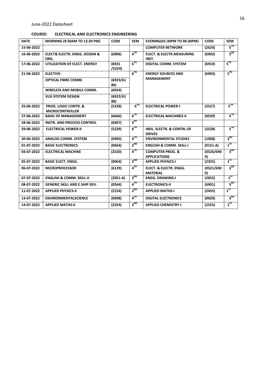#### **COURSE: ELECTRICAL AND ELECTRONICS ENGINEERING**

| <b>DATE</b> | MORNING (9:30AM TO 12:30 PM)                              | <b>CODE</b>      | <b>SEM</b>                 | EVENING(01:30PM TO 04:30PM)                           | <b>CODE</b>     | <b>SEM</b>      |
|-------------|-----------------------------------------------------------|------------------|----------------------------|-------------------------------------------------------|-----------------|-----------------|
| 15-06-2022  |                                                           |                  |                            | <b>COMPUTER NETWORK</b>                               | (2626)          | $5^{\rm TH}$    |
| 16-06-2022  | <b>ELECT&amp; ELECTR. ENGG. DESIGN &amp;</b><br>DRG.      | (6906)           | $\mathbf{A}^{\mathsf{TH}}$ | <b>ELECT. &amp; ELECTR.MEASURING</b><br>INST.         | (6902)          | 3 <sup>RD</sup> |
| 17-06-2022  | UTILIZATION OF ELECT. ENERGY                              | (6921)<br>/5224) | 6 <sup>TH</sup>            | <b>DIGITAL COMM. SYSTEM</b>                           | (6910)          | $5^{\rm{TH}}$   |
| 21-06-2022  | <b>ELECTIVE-</b>                                          |                  | $6^{TH}$                   | <b>ENERGY SOURCES AND</b>                             | (6903)          | 5 <sup>TH</sup> |
|             | <b>OPTICAL FIBRE COMM.</b>                                | (6923/61)<br>86) |                            | <b>MANAGEMENT</b>                                     |                 |                 |
|             | <b>WIRELESS AND MOBILE COMM.</b>                          | (6924)           |                            |                                                       |                 |                 |
|             | <b>VLSI SYSTEM DESIGN</b>                                 | (6922/61)<br>88) |                            |                                                       |                 |                 |
| 25-06-2022  | <b>PROG. LOGIC CONTR. &amp;</b><br><b>MICROCONTROLLER</b> | (5228)           | $6^{TH}$                   | <b>ELECTRICAL POWER-I</b>                             | (2527)          | $5^{\text{TH}}$ |
| 27-06-2022  | <b>BASIC OF MANAGEMENT</b>                                | (6666)           | $6^{TH}$                   | <b>ELECTRICAL MACHINES-II</b>                         | (0529)          | $5^{\text{TH}}$ |
| 28-06-2022  | <b>INSTR. AND PROCESS CONTROL</b>                         | (6907)           | $4^{TH}$                   |                                                       |                 |                 |
| 29-06-2022  | <b>ELECTRICAL POWER-II</b>                                | (5229)           | $6^{\text{TH}}$            | <b>INDL. ELECTR. &amp; CONTRL OF</b><br><b>DRIVES</b> | (2528)          | $5^{TH}$        |
| 30-06-2022  | <b>ANALOG COMM. SYSTEM</b>                                | (6905)           | $\mathbf{A}^{\mathsf{TH}}$ | <b>ENVIRONMENTAL STUDIES</b>                          | (1008)          | 3 <sup>RD</sup> |
| 01-07-2022  | <b>BASIC ELECTRONICS</b>                                  | (0664)           | $2^{ND}$                   | <b>ENGLISH &amp; COMM. SKILL-I</b>                    | $(0151-A)$      | $1^{5T}$        |
| 04-07-2022  | <b>ELECTRICAL MACHINE</b>                                 | (2520)           | $4^{TH}$                   | <b>COMPUTER PROG. &amp;</b><br><b>APPLICATIONS</b>    | (0526/690<br>4) | 3 <sup>RD</sup> |
| 05-07-2022  | <b>BASIC ELECT. ENGG.</b>                                 | (0064)           | $2^{ND}$                   | <b>APPLIED PHYSICS-I</b>                              | (2355)          | $1^{ST}$        |
| 06-07-2022  | <b>MICROPROCESSOR</b>                                     | (6129)           | $4^{TH}$                   | <b>ELECT. &amp; ELECTR. ENGG.</b><br><b>MATERIAL</b>  | (0521/690<br>O) | 3 <sup>RD</sup> |
| 07-07-2022  | <b>ENGLISH &amp; COMM. SKILL-II</b>                       | $(2051-A)$       | $2^{ND}$                   | <b>ENGG. DRAWING-I</b>                                | (2655)          | $1^{5T}$        |
| 08-07-2022  | <b>GENERIC SKILL AND E.SHIP DEV.</b>                      | (0564)           | $4^{TH}$                   | <b>ELECTRONICS-II</b>                                 | (6901)          | 3 <sup>RD</sup> |
| 11-07-2022  | <b>APPLIED PHYSICS-II</b>                                 | (2154)           | $2^{ND}$                   | <b>APPLIED MATHS-I</b>                                | (2455)          | $1^{57}$        |
| 13-07-2022  | <b>ENVIRONMENTALSCIENCE</b>                               | (6908)           | $4^{TH}$                   | <b>DIGITAL ELECTRONICS</b>                            | (0620)          | 3 <sup>RD</sup> |
| 14-07-2022  | <b>APPLIED MATHS-II</b>                                   | (2354)           | $2^{ND}$                   | <b>APPLIED CHEMISTRY-I</b>                            | (2555)          | $1^{ST}$        |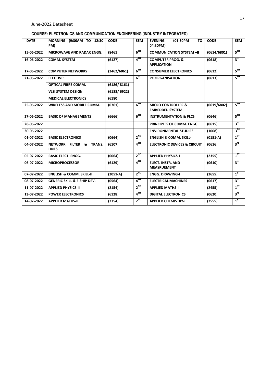### **COURSE: ELECTRONICS AND COMMUNICATION ENGINEERING (INDUSTRY INTEGRATED)**

| <b>DATE</b> | MORNING (9:30AM TO 12:30<br>PM)         | <b>CODE</b> | <b>SEM</b>                 | <b>EVENING</b><br>TO<br>(01:30PM<br>04:30PM)            | <b>CODE</b> | <b>SEM</b>      |
|-------------|-----------------------------------------|-------------|----------------------------|---------------------------------------------------------|-------------|-----------------|
| 15-06-2022  | MICROWAVE AND RADAR ENGG.               | (8461)      | $6^{TH}$                   | <b>COMMUNICATION SYSTEM -II</b>                         | (0614/6801) | $5^{\text{th}}$ |
| 16-06-2022  | <b>COMM. SYSTEM</b>                     | (6127)      | $\mathbf{A}^{\mathsf{TH}}$ | <b>COMPUTER PROG. &amp;</b><br><b>APPLICATION</b>       | (0618)      | 3 <sup>rd</sup> |
| 17-06-2022  | <b>COMPUTER NETWORKS</b>                | (2462/6061) | $6^{TH}$                   | <b>CONSUMER ELECTRONICS</b>                             | (0612)      | $5^{\text{TH}}$ |
| 21-06-2022  | <b>ELECTIVE:</b>                        |             | 6 <sup>th</sup>            | <b>PC ORGANISATION</b>                                  | (0613)      | $5^{\text{TH}}$ |
|             | <b>OPTICAL FIBRE COMM.</b>              | (6186/8161) |                            |                                                         |             |                 |
|             | <b>VLSI SYSTEM DESIGN</b>               | (6188/6922) |                            |                                                         |             |                 |
|             | <b>MEDICAL ELECTRONICS</b>              | (6180)      |                            |                                                         |             |                 |
| 25-06-2022  | <b>WIRELESS AND MOBILE COMM.</b>        | (0761)      | $6^{TH}$                   | <b>MICRO CONTROLLER &amp;</b><br><b>EMBEDDED SYSTEM</b> | (0619/6802) | 5 <sup>TH</sup> |
| 27-06-2022  | <b>BASIC OF MANAGEMENTS</b>             | (6666)      | $6^{TH}$                   | <b>INSTRUMENTATION &amp; PLCS</b>                       | (0646)      | 5 <sup>TH</sup> |
| 28-06-2022  |                                         |             |                            | PRINCIPLES OF COMM. ENGG.                               | (0615)      | 3 <sup>rd</sup> |
| 30-06-2022  |                                         |             |                            | <b>ENVIRONMENTAL STUDIES</b>                            | (1008)      | 3 <sup>RD</sup> |
| 01-07-2022  | <b>BASIC ELECTRONICS</b>                | (0664)      | $2^{ND}$                   | <b>ENGLISH &amp; COMM. SKILL-I</b>                      | $(0151-A)$  | $1^{5T}$        |
| 04-07-2022  | NETWORK FILTER & TRANS.<br><b>LINES</b> | (6107)      | $4$ <sup>TH</sup>          | <b>ELECTRONIC DEVICES &amp; CIRCUIT</b>                 | (0616)      | 3 <sup>rd</sup> |
| 05-07-2022  | <b>BASIC ELECT. ENGG.</b>               | (0064)      | $2^{ND}$                   | <b>APPLIED PHYSICS-I</b>                                | (2355)      | $1^{ST}$        |
| 06-07-2022  | <b>MICROPROCESSOR</b>                   | (6129)      | $4^{\text{TH}}$            | <b>ELECT. INSTR. AND</b><br><b>MEASRUEMENT</b>          | (0610)      | $3^{rd}$        |
| 07-07-2022  | <b>ENGLISH &amp; COMM. SKILL-II</b>     | $(2051-A)$  | $2^{ND}$                   | <b>ENGG. DRAWING-I</b>                                  | (2655)      | $1^{ST}$        |
| 08-07-2022  | <b>GENERIC SKILL &amp; E.SHIP DEV.</b>  | (0564)      | $4$ <sup>TH</sup>          | <b>ELECTRICAL MACHINES</b>                              | (0617)      | $3^{\text{rd}}$ |
| 11-07-2022  | <b>APPLIED PHYSICS-II</b>               | (2154)      | $2^{ND}$                   | <b>APPLIED MATHS-I</b>                                  | (2455)      | $1^{5T}$        |
| 13-07-2022  | <b>POWER ELECTRONICS</b>                | (6128)      | 4 <sup>TH</sup>            | <b>DIGITAL ELECTRONICS</b>                              | (0620)      | 3 <sup>rd</sup> |
| 14-07-2022  | <b>APPLIED MATHS-II</b>                 | (2354)      | $2^{ND}$                   | <b>APPLIED CHEMISTRY-I</b>                              | (2555)      | $1^{5T}$        |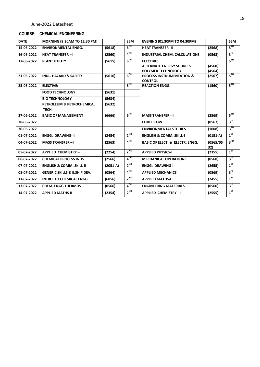#### **COURSE: CHEMICAL ENGINEERING**

| <b>DATE</b> | MORNING (9:30AM TO 12:30 PM)                                      |                  | <b>SEM</b>                 | <b>EVENING (01:30PM TO 04:30PM)</b>                                              |                  | <b>SEM</b>      |
|-------------|-------------------------------------------------------------------|------------------|----------------------------|----------------------------------------------------------------------------------|------------------|-----------------|
| 15-06-2022  | <b>ENVIRONMENTAL ENGG.</b>                                        | (5618)           | $6^{TH}$                   | <b>HEAT TRANSFER -II</b>                                                         | (2568)           | $5^{\text{TH}}$ |
| 16-06-2022  | <b>HEAT TRANSFER-I</b>                                            | (2560)           | $4^{TH}$                   | <b>INDUSTRIAL CHEM. CALCULATIONS</b>                                             | (0563)           | $3^{\text{rd}}$ |
| 17-06-2022  | <b>PLANT UTILITY</b>                                              | (5615)           | $6^{TH}$                   | <b>ELECTIVE:</b><br><b>ALTERNATE ENERGY SOURCES</b><br><b>POLYMER TECHNOLOGY</b> | (4560)<br>(4564) | $5^{\rm TH}$    |
| 21-06-2022  | <b>INDL. HAZARD &amp; SAFETY</b>                                  | (5616)           | $6^{TH}$                   | <b>PROCESS INSTRUMENTATION &amp;</b><br><b>CONTROL</b>                           | (2567)           | $5^{\text{TH}}$ |
| 25-06-2022  | <b>ELECTIVE:</b>                                                  |                  | $6^{TH}$                   | <b>REACTION ENGG.</b>                                                            | (1560)           | $5^{\text{TH}}$ |
|             | <b>FOOD TECHNOLOGY</b>                                            | (5631)           |                            |                                                                                  |                  |                 |
|             | <b>BIO TECHNOLOGY</b><br>PETROLEUM & PETROCHEMICAL<br><b>TECH</b> | (5634)<br>(5632) |                            |                                                                                  |                  |                 |
| 27-06-2022  | <b>BASIC OF MANAGEMENT</b>                                        | (6666)           | $6^{TH}$                   | <b>MASS TRANSFER -II</b>                                                         | (2569)           | $5^{\text{TH}}$ |
| 28-06-2022  |                                                                   |                  |                            | <b>FLUID FLOW</b>                                                                | (0567)           | $3^{\text{rd}}$ |
| 30-06-2022  |                                                                   |                  |                            | <b>ENVIRONMENTAL STUDIES</b>                                                     | (1008)           | 3 <sup>RD</sup> |
| 01-07-2022  | <b>ENGG. DRAWING-II</b>                                           | (2454)           | $2^{ND}$                   | <b>ENGLISH &amp; COMM. SKILL-I</b>                                               | $(0151-A)$       | $1^{57}$        |
| 04-07-2022  | <b>MASS TRANSFER-I</b>                                            | (2563)           | $\mathbf{A}^{\mathsf{TH}}$ | <b>BASIC OF ELECT. &amp; ELECTR. ENGG.</b>                                       | (0565/05)<br>32) | 3 <sup>RD</sup> |
| 05-07-2022  | <b>APPLIED CHEMISTRY - II</b>                                     | (2254)           | $2^{ND}$                   | <b>APPLIED PHYSICS-I</b>                                                         | (2355)           | $1^{ST}$        |
| 06-07-2022  | <b>CHEMICAL PROCESS INDS</b>                                      | (2566)           | $4^{TH}$                   | <b>MECHANICAL OPERATIONS</b>                                                     | (0568)           | $3^{\text{rd}}$ |
| 07-07-2022  | <b>ENGLISH &amp; COMM. SKILL-II</b>                               | $(2051-A)$       | $2^{ND}$                   | <b>ENGG. DRAWING-I</b>                                                           | (2655)           | $1^{5T}$        |
| 08-07-2022  | <b>GENERIC SKILLS &amp; E.SHIP DEV.</b>                           | (0564)           | $4^{TH}$                   | <b>APPLIED MECHANICS</b>                                                         | (0569)           | $3^{\text{rd}}$ |
| 11-07-2022  | <b>INTRO. TO CHEMICAL ENGG.</b>                                   | (6856)           | $2^{ND}$                   | <b>APPLIED MATHS-I</b>                                                           | (2455)           | $1^{5T}$        |
| 13-07-2022  | <b>CHEM. ENGG THERMOS</b>                                         | (0566)           | $4^{TH}$                   | <b>ENGINEERING MATERIALS</b>                                                     | (0560)           | $3^{\text{rd}}$ |
| 14-07-2022  | <b>APPLIED MATHS-II</b>                                           | (2354)           | $2^{ND}$                   | <b>APPLIED CHEMISTRY - I</b>                                                     | (2555)           | $1^{ST}$        |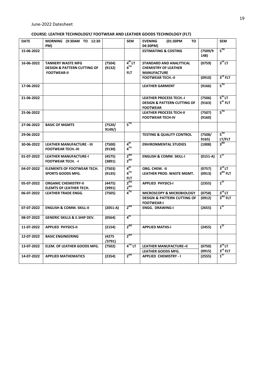#### **COURSE: LEATHER TECHNOLOGY/ FOOTWEAR AND LEATHER GOODS TECHNOLOGY (FLT)**

| <b>DATE</b> | MORNING (9:30AM TO 12:30<br>PM)                                                          |                  | <b>SEM</b>                                          | <b>EVENING</b><br>(01:30PM<br>TO<br>04:30PM)                                                |                  | <b>SEM</b>                                |
|-------------|------------------------------------------------------------------------------------------|------------------|-----------------------------------------------------|---------------------------------------------------------------------------------------------|------------------|-------------------------------------------|
| 15-06-2022  |                                                                                          |                  |                                                     | <b>ESTIMATING &amp; COSTING</b>                                                             | (7509/9)<br>148) | $5^{\text{TH}}$                           |
| 16-06-2022  | <b>TANNERY WASTE MFG</b><br><b>DESIGN &amp; PATTERN CUTTING OF</b><br><b>FOOTWEAR-II</b> | (7504)<br>(9132) | $4^{\text{th}}$ LT<br>4 <sup>TH</sup><br><b>FLT</b> | <b>STANDARD AND ANALYTICAL</b><br><b>CHEMISTRY OF LEATHER</b><br><b>MANUFACTURE</b>         | (0759)           | $3^{\text{rd}}$ LT<br>$3^{\text{rd}}$ FLT |
|             |                                                                                          |                  |                                                     | <b>FOOTWEAR TECH.-II</b>                                                                    | (0910)           |                                           |
| 17-06-2022  |                                                                                          |                  |                                                     | <b>LEATHER GARMENT</b>                                                                      | (9166)           | $5^{TH}$                                  |
| 21-06-2022  |                                                                                          |                  |                                                     | <b>LEATHER PROCESS TECH.-I</b><br><b>DESIGN &amp; PATTERN CUTTING OF</b><br><b>FOOTWEAR</b> | (7506)<br>(9163) | $5^{\text{th}}$ LT<br>$5th$ FLT           |
| 25-06-2022  |                                                                                          |                  |                                                     | <b>LEATHER PROCESS TECH-II</b><br><b>FOOTWEAR TECH-IV</b>                                   | (7507)<br>(9160) | 5 <sup>TH</sup>                           |
| 27-06-2022  | <b>BASIC OF MGMTS</b>                                                                    | (7520/<br>9149/  | $5^{\text{TH}}$                                     |                                                                                             |                  |                                           |
| 29-06-2022  |                                                                                          |                  |                                                     | <b>TESTING &amp; QUALITY CONTROL</b>                                                        | (7508/<br>9165)  | $5^{\text{TH}}$<br><b>LT/FLT</b>          |
| 30-06-2022  | <b>LEATHER MANUFACTURE - III</b><br><b>FOOTWEAR TECH.-III</b>                            | (7500)<br>(9130) | 4 <sup>th</sup><br>4 <sup>TH</sup>                  | <b>ENVIRONMENTAL STUDIES</b>                                                                | (1008)           | 3 <sup>RD</sup>                           |
| 01-07-2022  | <b>LEATHER MANUFACTURE-I</b><br><b>FOOTWEAR TECH. - I</b>                                | (4575)<br>(3891) | $2^{ND}$<br>$2^{ND}$                                | <b>ENGLISH &amp; COMM. SKILL-I</b>                                                          | $(0151-A)$       | $1^{ST}$                                  |
| 04-07-2022  | <b>ELEMENTS OF FOOTWEAR TECH.</b><br><b>SPORTS GOODS MFG.</b>                            | (7503)<br>(9135) | $4^{\text{th}}$<br>4 <sup>TH</sup><br><b>FLT</b>    | ORG. CHEM. - II<br>LEATHER PROD. WASTE MGMT.                                                | (0757)<br>(0913) | $3^{rd}$ LT<br>$3RD$ FLT                  |
| 05-07-2022  | <b>ORGANIC CHEMISTRY-II</b><br><b>ELEMTS OF LEATHER TECH.</b>                            | (4475)<br>(3991) | $2^{ND}$<br>$2^{ND}$                                | <b>APPLIED PHYSICS-I</b>                                                                    | (2355)           | $1^{ST}$                                  |
| 06-07-2022  | <b>LEATHER TRADE ENGG.</b>                                                               | (7505)           | $4$ <sup>TH</sup>                                   | <b>MICROSCOPY &amp; MICROBIOLOGY</b>                                                        | (0758)           | $3^{\text{rd}}$ LT                        |
|             |                                                                                          |                  |                                                     | <b>DESIGN &amp; PATTERN CUTTING OF</b><br><b>FOOTWEAR-I</b>                                 | (0912)           | $3RD$ FLT                                 |
| 07-07-2022  | <b>ENGLISH &amp; COMM. SKILL-II</b>                                                      | $(2051-A)$       | $2^{ND}$                                            | <b>ENGG. DRAWING-I</b>                                                                      | (2655)           | $1^{ST}$                                  |
| 08-07-2022  | <b>GENERIC SKILLS &amp; E.SHIP DEV.</b>                                                  | (0564)           | 4 <sup>th</sup>                                     |                                                                                             |                  |                                           |
| 11-07-2022  | <b>APPLIED PHYSICS-II</b>                                                                | (2154)           | $2^{ND}$                                            | <b>APPLIED MATHS-I</b>                                                                      | (2455)           | $1^{57}$                                  |
| 12-07-2022  | <b>BASIC ENGINEERING</b>                                                                 | (4275<br>(3791)  | $2^{ND}$                                            |                                                                                             |                  |                                           |
| 13-07-2022  | <b>ELEM. OF LEATHER GOODS MFG.</b>                                                       | (7502)           | $4^{\text{TH}}$ LT                                  | <b>LEATHER MANUFACTURE-II</b><br><b>LEATHER GOODS MFG.</b>                                  | (0750)<br>(0915) | $3^{\text{rd}}$ LT<br>$3rd$ FLT           |
| 14-07-2022  | <b>APPLIED MATHEMATICS</b>                                                               | (2354)           | $2^{\text{ND}}$                                     | <b>APPLIED CHEMISTRY - I</b>                                                                | (2555)           | $1^{ST}$                                  |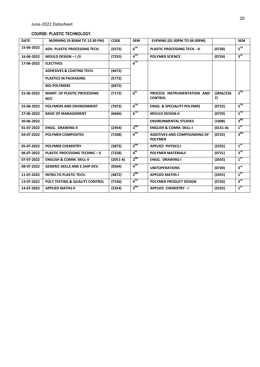#### **COURSE: PLASTIC TECHNOLOGY.**

| <b>DATE</b> | <b>MORNING (9:30AM TO 12:30 PM)</b>        | <b>CODE</b> | <b>SEM</b>                 | <b>EVENING (01:30PM TO 04:30PM)</b>                   |                 | <b>SEM</b>      |
|-------------|--------------------------------------------|-------------|----------------------------|-------------------------------------------------------|-----------------|-----------------|
| 15-06-2022  | ADV. PLASTIC PROCESSING TECH.              | (5572)      | $6^{TH}$                   | <b>PLASTIC PROCESSING TECH. - II</b>                  | (0728)          | $5^{TH}$        |
| 16-06-2022  | MOULD DESIGN - I /II                       | (7255)      | $\mathbf{A}^{\mathsf{TH}}$ | <b>POLYMER SCIENCE</b>                                | (0724)          | $3^{\text{rd}}$ |
| 17-06-2022  | <b>ELECTIVES:</b>                          |             | $6^{TH}$                   |                                                       |                 |                 |
|             | <b>ADHESIVES &amp; COATING TECH.</b>       | (4672)      |                            |                                                       |                 |                 |
|             | <b>PLASTICS IN PACKAGING</b>               | (5772)      |                            |                                                       |                 |                 |
|             | <b>BIO-POLYMERS</b>                        | (6072)      |                            |                                                       |                 |                 |
| 21-06-2022  | <b>MAINT. OF PLASTIC PROCESSING</b><br>M/C | (7172)      | 6 <sup>th</sup>            | PROCESS INSTRUMENTATION AND<br><b>CONTROL</b>         | (2856/256<br>7) | $5^{\text{TH}}$ |
| 25-06-2022  | POLYMERS AND ENVIRONMENT                   | (7072)      | $6^{TH}$                   | <b>ENGG. &amp; SPECIALITY POLYMRS</b>                 | (0722)          | $5^{\text{TH}}$ |
| 27-06-2022  | <b>BASIC OF MANAGEMENT</b>                 | (6666)      | $6^{TH}$                   | <b>MOULD DESIGN-II</b>                                | (0729)          | $5^{\rm TH}$    |
| 30-06-2022  |                                            |             |                            | <b>ENVIRONMENTAL STUDIES</b>                          | (1008)          | 3 <sup>RD</sup> |
| 01-07-2022  | <b>ENGG. DRAWING-II</b>                    | (2454)      | $2^{ND}$                   | <b>ENGLISH &amp; COMM. SKILL-I</b>                    | $(0151-A)$      | $1^{ST}$        |
| 04-07-2022  | <b>POLYMER COMPOSITES</b>                  | (7208)      | 4 <sup>TH</sup>            | <b>ADDITIVES AND COMPOUNDING OF</b><br><b>POLYMER</b> | (0725)          | 3 <sup>RD</sup> |
| 05-07-2022  | <b>POLYMER CHEMISTRY</b>                   | (3872)      | $2^{ND}$                   | <b>APPLIED PHYSICS-I</b>                              | (2355)          | $1^{57}$        |
| 06-07-2022  | <b>PLASTIC PROCESSING TECHNIC - II</b>     | (7258)      | 4 <sup>th</sup>            | <b>POLYMER MATERIALS</b>                              | (0721)          | $3^{\text{rd}}$ |
| 07-07-2022  | <b>ENGLISH &amp; COMM. SKILL-II</b>        | $(2051-A)$  | $2^{ND}$                   | <b>ENGG. DRAWING-I</b>                                | (2655)          | $1^{57}$        |
| 08-07-2022  | <b>GENERIC SKILLS AND E.SHIP DEV.</b>      | (0564)      | $4^{TH}$                   | <b>UNITOPERATIONS</b>                                 | (0720)          | 3 <sup>rd</sup> |
| 11-07-2022  | <b>INTRO.TO PLASTIC TECH.</b>              | (4872)      | $2^{ND}$                   | <b>APPLIED MATHS-I</b>                                | (2455)          | $1^{5T}$        |
| 13-07-2022  | <b>POLY TESTING &amp; QUALITY CONTROL</b>  | (7236)      | 4 <sup>TH</sup>            | <b>POLYMER PRODUCT DESIGN</b>                         | (0726)          | $3^{\text{rd}}$ |
| 14-07-2022  | <b>APPLIED MATHS-II</b>                    | (2354)      | $2^{ND}$                   | <b>APPLIED CHEMISTRY - I</b>                          | (2555)          | $1^{57}$        |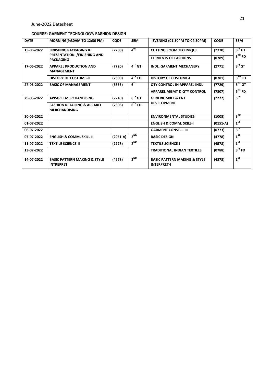#### **COURSE: GARMENT TECHNOLOGY/ FASHION DESIGN**

| <b>DATE</b> | <b>MORNING(9:30AM TO 12:30 PM)</b>                             | <b>CODE</b> | <b>SEM</b>           | <b>EVENING (01:30PM TO 04:30PM)</b>                           | <b>CODE</b> | <b>SEM</b>         |
|-------------|----------------------------------------------------------------|-------------|----------------------|---------------------------------------------------------------|-------------|--------------------|
| 15-06-2022  | <b>FINISHING PACKAGING &amp;</b>                               | (7700)      | 4 <sup>th</sup>      | <b>CUTTING ROOM TECHNIQUE</b>                                 | (2770)      | $3^{\text{rd}}$ GT |
|             | PRESENTATION / FINISHING AND<br><b>PACKAGING</b>               |             |                      | <b>ELEMENTS OF FASHIONS</b>                                   | (0789)      | $3^{\text{RD}}$ FD |
| 17-06-2022  | <b>APPAREL PRODUCTION AND</b><br><b>MANAGEMENT</b>             | (7720)      | $4^{\text{TH}}$ GT   | <b>INDL. GARMENT MECHANERY</b>                                | (2771)      | $3^{rd}$ GT        |
|             | <b>HISTORY OF COSTUME-II</b>                                   | (7800)      | $4TH$ FD             | <b>HISTORY OF COSTUME-I</b>                                   | (0781)      | $3RD$ FD           |
| 27-06-2022  | <b>BASIC OF MANAGEMENT</b>                                     | (6666)      | $6^{TH}$             | <b>QTY CONTROL IN APPAREL INDL</b>                            | (7729)      | $5^{\text{th}}$ GT |
|             |                                                                |             |                      | <b>APPAREL MGMT &amp; QTY CONTROL</b>                         | (7807)      | $5^{\text{th}}$ FD |
| 29-06-2022  | <b>APPAREL MERCHANDISING</b>                                   | (7740)      | $6^{\text{TH}}$ GT   | <b>GENERIC SKILL &amp; ENT.</b>                               | (2222)      | $5^{\text{TH}}$    |
|             | <b>FASHION RETAILING &amp; APPAREL</b><br><b>MERCHANDISING</b> | (7808)      | $6$ <sup>TH</sup> FD | <b>DEVELOPMENT</b>                                            |             |                    |
| 30-06-2022  |                                                                |             |                      | <b>ENVIRONMENTAL STUDIES</b>                                  | (1008)      | 3 <sup>RD</sup>    |
| 01-07-2022  |                                                                |             |                      | <b>ENGLISH &amp; COMM. SKILL-I</b>                            | $(0151-A)$  | $1^{ST}$           |
| 06-07-2022  |                                                                |             |                      | <b>GARMENT CONST. - III</b>                                   | (0773)      | $3^{\text{rd}}$    |
| 07-07-2022  | <b>ENGLISH &amp; COMM. SKILL-II</b>                            | $(2051-A)$  | $2^{ND}$             | <b>BASIC DESIGN</b>                                           | (4778)      | $1^{57}$           |
| 11-07-2022  | <b>TEXTILE SCIENCE-II</b>                                      | (2778)      | $2^{ND}$             | <b>TEXTILE SCIENCE-I</b>                                      | (4578)      | $1^{57}$           |
| 13-07-2022  |                                                                |             |                      | <b>TRADITIONAL INDIAN TEXTILES</b>                            | (0788)      | $3^{\text{rd}}$ FD |
| 14-07-2022  | <b>BASIC PATTERN MAKING &amp; STYLE</b><br><b>INTREPRET</b>    | (4978)      | $2^{ND}$             | <b>BASIC PATTERN MAKING &amp; STYLE</b><br><b>INTERPRET-I</b> | (4878)      | $1^{57}$           |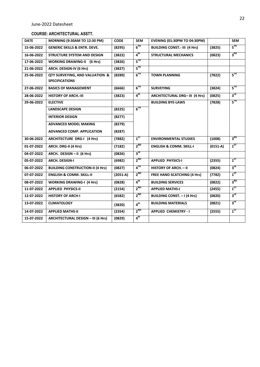#### **COURSE: ARCHITECTURAL ASSTT.**

| <b>DATE</b> | MORNING (9:30AM TO 12:30 PM)              | <b>CODE</b> | <b>SEM</b>      | <b>EVENING (01:30PM TO 04:30PM)</b>   |            | <b>SEM</b>      |
|-------------|-------------------------------------------|-------------|-----------------|---------------------------------------|------------|-----------------|
| 15-06-2022  | <b>GENERIC SKILLS &amp; ENTR. DEVE.</b>   | (8295)      | $6^{TH}$        | <b>BUILDING CONST.- III (4 Hrs)</b>   | (3825)     | $5^{TH}$        |
| 16-06-2022  | <b>STRUCTURE SYSTEM AND DESIGN</b>        | (3822)      | 4 <sup>th</sup> | <b>STRUCTURAL MECHANICS</b>           | (0823)     | 3 <sup>RD</sup> |
| 17-06-2022  | <b>WORKING DRAWING-II</b> (6 Hrs)         | (3826)      | $5^{TH}$        |                                       |            |                 |
| 21-06-2022  | ARCH. DESIGN-IV (6 Hrs)                   | (3827)      | $5^{\rm{TH}}$   |                                       |            |                 |
| 25-06-2022  | QTY SURVEYING, AND VALUATION &            | (8289)      | $6^{TH}$        | <b>TOWN PLANNING</b>                  | (7822)     | $5^{\text{TH}}$ |
|             | <b>SPECIFICATIONS</b>                     |             |                 |                                       |            |                 |
| 27-06-2022  | <b>BASICS OF MANAGEMENT</b>               | (6666)      | $6^{TH}$        | <b>SURVEYING</b>                      | (3824)     | $5^{\text{TH}}$ |
| 28-06-2022  | <b>HISTORY OF ARCH.-III</b>               | (3823)      | $4^{\text{th}}$ | <b>ARCHITECTURAL DRG- III (4 Hrs)</b> | (0825)     | $3^{\text{rd}}$ |
| 29-06-2022  | <b>ELECTIVE</b>                           |             |                 | <b>BUILDING BYE-LAWS</b>              | (7828)     | $5^{TH}$        |
|             | <b>LANDSCAPE DESIGN</b>                   | (8225)      | $6^{TH}$        |                                       |            |                 |
|             | <b>INTERIOR DESIGN</b>                    | (8277)      |                 |                                       |            |                 |
|             | ADVANCED MODEL MAKING                     | (8279)      |                 |                                       |            |                 |
|             | <b>ADVANCED COMP. APPLICATION</b>         | (8287)      |                 |                                       |            |                 |
| 30-06-2022  | ARCHITECTURE DRG-I (4 Hrs)                | (7882)      | 1 <sup>ST</sup> | <b>ENVIRONMENTAL STUDIES</b>          | (1008)     | 3 <sup>RD</sup> |
| 01-07-2022  | ARCH. DRG-II (4 Hrs)                      | (7182)      | $2^{ND}$        | <b>ENGLISH &amp; COMM. SKILL-I</b>    | $(0151-A)$ | $1^{5T}$        |
| 04-07-2022  | ARCH. DESIGN - II (6 Hrs)                 | (0826)      | $3^{\text{rd}}$ |                                       |            |                 |
| 05-07-2022  | <b>ARCH. DESIGN-I</b>                     | (6982)      | $2^{ND}$        | <b>APPLIED PHYSICS-I</b>              | (2355)     | $1^{57}$        |
| 06-07-2022  | <b>BUILDING CONSTRUCTION-II (4 Hrs)</b>   | (0827)      | $4^{TH}$        | <b>HISTORY OF ARCH. - II</b>          | (0824)     | $3^{\text{rd}}$ |
| 07-07-2022  | <b>ENGLISH &amp; COMM. SKILL-II</b>       | $(2051-A)$  | $2^{ND}$        | <b>FREE HAND SCATCHING (4 Hrs)</b>    | (7782)     | $1^{ST}$        |
| 08-07-2022  | <b>WORKING DRAWING-I (4 Hrs)</b>          | (0828)      | 4 <sup>th</sup> | <b>BUILDING SERVICES</b>              | (0822)     | 3 <sup>RD</sup> |
| 11-07-2022  | <b>APPLIED PHYSICS-II</b>                 | (2154)      | $2^{ND}$        | <b>APPLIED MATHS-I</b>                | (2455)     | $1^{57}$        |
| 12-07-2022  | <b>HISTORY OF ARCH-I</b>                  | (6582)      | $2^{ND}$        | <b>BUILDING CONST. - I (4 Hrs)</b>    | (0820)     | $3^{\text{rd}}$ |
| 13-07-2022  | <b>CLIMATOLOGY</b>                        | (3820)      | 4 <sup>th</sup> | <b>BUILDING MATERIALS</b>             | (0821)     | $3^{\text{rd}}$ |
| 14-07-2022  | <b>APPLIED MATHS-II</b>                   | (2354)      | $2^{ND}$        | <b>APPLIED CHEMISTRY - I</b>          | (2555)     | $1^{5T}$        |
| 15-07-2022  | <b>ARCHITECTURAL DESIGN - III (6 Hrs)</b> | (0829)      | 4 <sup>th</sup> |                                       |            |                 |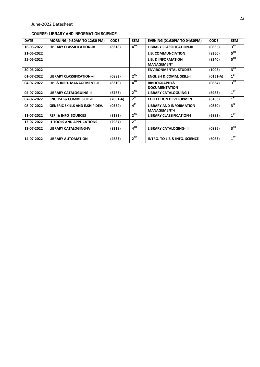#### **COURSE: LIBRARY AND INFORMATION SCIENCE.**

| <b>DATE</b> | <b>MORNING (9:30AM TO 12:30 PM)</b>   | <b>CODE</b> | <b>SEM</b>      | <b>EVENING (01:30PM TO 04:30PM)</b>                   | <b>CODE</b> | <b>SEM</b>      |
|-------------|---------------------------------------|-------------|-----------------|-------------------------------------------------------|-------------|-----------------|
| 16-06-2022  | <b>LIBRARY CLASSIFICATION-IV</b>      | (8318)      | 4 <sup>TH</sup> | <b>LIBRARY CLASSIFICATION-III</b>                     | (0835)      | 3 <sup>RD</sup> |
| 21-06-2022  |                                       |             |                 | LIB. COMMUNCIATION                                    | (8360)      | $5^{\text{TH}}$ |
| 25-06-2022  |                                       |             |                 | <b>LIB. &amp; INFORMATION</b><br><b>MANAGEMENT</b>    | (8340)      | $5^{\text{TH}}$ |
| 30-06-2022  |                                       |             |                 | <b>ENVIRONMENTAL STUDIES</b>                          | (1008)      | 3 <sup>RD</sup> |
| 01-07-2022  | <b>LIBRARY CLASSIFICATION -II</b>     | (0883)      | $2^{ND}$        | <b>ENGLISH &amp; COMM. SKILL-I</b>                    | $(0151-A)$  | $1^{5T}$        |
| 04-07-2022  | LIB. & INFO. MANAGEMENT - II          | (8310)      | 4 <sup>TH</sup> | <b>BIBLIOGRAPHY&amp;</b><br><b>DOCUMENTATION</b>      | (0834)      | 3 <sup>RD</sup> |
| 05-07-2022  | <b>LIBRARY CATALOGUING-II</b>         | (6783)      | $2^{ND}$        | <b>LIBRARY CATALOGUING-I</b>                          | (6983)      | $1^{5T}$        |
| 07-07-2022  | <b>ENGLISH &amp; COMM. SKILL-II</b>   | $(2051-A)$  | $2^{ND}$        | <b>COLLECTION DEVELOPMENT</b>                         | (6183)      | $1^{5T}$        |
| 08-07-2022  | <b>GENERIC SKILLS AND E.SHIP DEV.</b> | (0564)      | 4 <sup>th</sup> | <b>LIBRARY AND INFORMATION</b><br><b>MANAGEMENT-I</b> | (0830)      | $3^{\text{rd}}$ |
| 11-07-2022  | <b>REF. &amp; INFO SOURCES</b>        | (8183)      | $2^{ND}$        | LIBRARY CLASSIFICATION-I                              | (6883)      | $1^{57}$        |
| 12-07-2022  | <b>IT TOOLS AND APPLICATIONS</b>      | (2987)      | $2^{ND}$        |                                                       |             |                 |
| 13-07-2022  | <b>LIBRARY CATALOGING-IV</b>          | (8319)      | $4^{TH}$        | <b>LIBRARY CATALOGING-III</b>                         | (0836)      | 3 <sup>RD</sup> |
| 14-07-2022  | <b>LIBRARY AUTOMATION</b>             | (4683)      | $2^{ND}$        | INTRO. TO LIB & INFO. SCIENCE                         | (6083)      | $1^{ST}$        |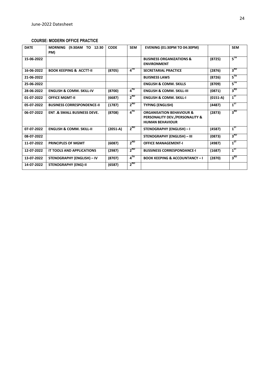#### **COURSE: MODERN OFFICE PRACTICE**

| <b>DATE</b> | <b>MORNING</b><br>(9:30AM TO 12:30<br>PM) | <b>CODE</b> | <b>SEM</b>      | <b>EVENING (01:30PM TO 04:30PM)</b>                                                             |            | <b>SEM</b>      |
|-------------|-------------------------------------------|-------------|-----------------|-------------------------------------------------------------------------------------------------|------------|-----------------|
| 15-06-2022  |                                           |             |                 | <b>BUSINESS ORGANIZATIONS &amp;</b><br><b>ENVIRONMENT</b>                                       | (8725)     | $5^{\text{TH}}$ |
| 16-06-2022  | <b>BOOK KEEPING &amp; ACCTT-II</b>        | (8705)      | $4^{TH}$        | <b>SECRETARIAL PRACTICE</b>                                                                     | (2876)     | 3 <sup>RD</sup> |
| 21-06-2022  |                                           |             |                 | <b>BUISNESS LAWS</b>                                                                            | (8726)     | $5^{\text{TH}}$ |
| 25-06-2022  |                                           |             |                 | <b>ENGLISH &amp; COMM. SKILLS</b>                                                               | (8709)     | $5^{\text{TH}}$ |
| 28-06-2022  | <b>ENGLISH &amp; COMM. SKILL-IV</b>       | (8700)      | 4 <sup>TH</sup> | <b>ENGLISH &amp; COMM. SKILL-III</b>                                                            | (0871)     | 3 <sup>RD</sup> |
| 01-07-2022  | <b>OFFICE MGMT-II</b>                     | (6687)      | $2^{ND}$        | <b>ENGLISH &amp; COMM. SKILL-I</b>                                                              | $(0151-A)$ | $1^{5T}$        |
| 05-07-2022  | <b>BUSINESS CORRESPONDENCE-II</b>         | (1787)      | $2^{ND}$        | <b>TYPING (ENGLISH)</b>                                                                         | (4487)     | $1^{57}$        |
| 06-07-2022  | <b>ENT.&amp; SMALL BUSINESS DEVE.</b>     | (8708)      | $4^{\text{TH}}$ | <b>ORGANISATION BEHAVIOUR &amp;</b><br>PERSONALITY DEV./PERSONALITY &<br><b>HUMAN BEHAVIOUR</b> | (2873)     | 3 <sup>RD</sup> |
| 07-07-2022  | <b>ENGLISH &amp; COMM. SKILL-II</b>       | $(2051-A)$  | $2^{ND}$        | <b>STENOGRAPHY (ENGLISH) - I</b>                                                                | (4587)     | $1^{57}$        |
| 08-07-2022  |                                           |             |                 | <b>STENOGRAPHY (ENGLISH) - III</b>                                                              | (0873)     | 3 <sup>RD</sup> |
| 11-07-2022  | <b>PRINCIPLES OF MGMT</b>                 | (6087)      | $2^{ND}$        | <b>OFFICE MANAGEMENT-I</b>                                                                      | (4987)     | $1^{ST}$        |
| 12-07-2022  | IT TOOLS AND APPLICATIONS                 | (2987)      | $2^{ND}$        | <b>BUSSINESS CORRESPONDANCE-I</b>                                                               | (1687)     | $1^{57}$        |
| 13-07-2022  | <b>STENOGRAPHY (ENGLISH) - IV</b>         | (8707)      | $4^{TH}$        | <b>BOOK KEEPING &amp; ACCOUNTANCY-I</b>                                                         | (2870)     | 3 <sup>RD</sup> |
| 14-07-2022  | <b>STENOGRAPHY (ENG)-II</b>               | (6587)      | $2^{ND}$        |                                                                                                 |            |                 |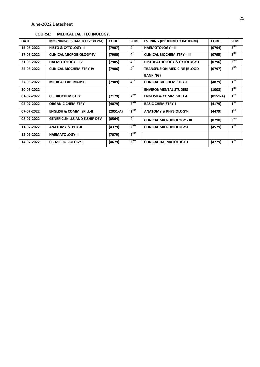#### **COURSE: MEDICAL LAB. TECHNOLOGY.**

| <b>DATE</b> | MORNING(9:30AM TO 12:30 PM)          | <b>CODE</b> | <b>SEM</b> | <b>EVENING (01:30PM TO 04:30PM)</b>                    | <b>CODE</b> | <b>SEM</b>      |
|-------------|--------------------------------------|-------------|------------|--------------------------------------------------------|-------------|-----------------|
| 15-06-2022  | <b>HISTO &amp; CYTOLOGY-II</b>       | (7907)      | $4^{TH}$   | <b>HAEMOTOLOGY - III</b>                               | (0794)      | 3 <sup>RD</sup> |
| 17-06-2022  | <b>CLINICAL MICROBIOLOGY-IV</b>      | (7900)      | $4^{TH}$   | <b>CLINICAL BIOCHEMISTRY - III</b>                     | (0795)      | 3 <sup>RD</sup> |
| 21-06-2022  | <b>HAEMOTOLOGY - IV</b>              | (7905)      | $4^{TH}$   | <b>HISTOPATHOLOGY &amp; CYTOLOGY-I</b>                 | (0796)      | 3 <sup>RD</sup> |
| 25-06-2022  | <b>CLINICAL BIOCHEMISTRY-IV</b>      | (7906)      | $4^{TH}$   | <b>TRANSFUSION MEDICINE (BLOOD</b><br><b>BANKING</b> ) | (0797)      | 3 <sup>RD</sup> |
| 27-06-2022  | <b>MEDICAL LAB. MGMT.</b>            | (7909)      | $4^{TH}$   | <b>CLINICAL BIOCHEMISTRY-I</b>                         | (4879)      | $1^{5T}$        |
| 30-06-2022  |                                      |             |            | <b>ENVIRONMENTAL STUDIES</b>                           | (1008)      | 3 <sup>RD</sup> |
| 01-07-2022  | <b>CL. BIOCHEMISTRY</b>              | (7179)      | $2^{ND}$   | <b>ENGLISH &amp; COMM. SKILL-I</b>                     | $(0151-A)$  | $1^{57}$        |
| 05-07-2022  | <b>ORGANIC CHEMISTRY</b>             | (4079)      | $2^{ND}$   | <b>BASIC CHEMISTRY-I</b>                               | (4179)      | $1^{ST}$        |
| 07-07-2022  | <b>ENGLISH &amp; COMM. SKILL-II</b>  | $(2051-A)$  | $2^{ND}$   | <b>ANATOMY &amp; PHYSIOLOGY-I</b>                      | (4479)      | $1^{57}$        |
| 08-07-2022  | <b>GENERIC SKILLS AND E.SHIP DEV</b> | (0564)      | $4^{TH}$   | <b>CLINICAL MICROBIOLOGY - III</b>                     | (0790)      | 3 <sup>RD</sup> |
| 11-07-2022  | <b>ANATOMY &amp; PHY-II</b>          | (4379)      | $2^{ND}$   | <b>CLINICAL MICROBIOLOGY-I</b>                         | (4579)      | $1^{57}$        |
| 12-07-2022  | <b>HAEMATOLOGY-II</b>                | (7079)      | $2^{ND}$   |                                                        |             |                 |
| 14-07-2022  | <b>CL. MICROBIOLOGY-II</b>           | (4679)      | $2^{ND}$   | <b>CLINICAL HAEMATOLOGY-I</b>                          | (4779)      | $1^{57}$        |
|             |                                      |             |            |                                                        |             |                 |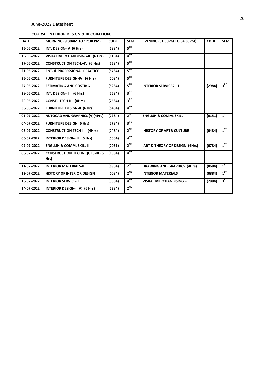#### **COURSE: INTERIOR DESIGN & DECORATION.**

| <b>DATE</b> | MORNING (9:30AM TO 12:30 PM)            | <b>CODE</b> | <b>SEM</b>        | <b>EVENING (01:30PM TO 04:30PM)</b> | <b>CODE</b> | <b>SEM</b>      |
|-------------|-----------------------------------------|-------------|-------------------|-------------------------------------|-------------|-----------------|
| 15-06-2022  | INT. DESIGN-IV (6 Hrs)                  | (5884)      | $5^{\rm TH}$      |                                     |             |                 |
| 16-06-2022  | VISUAL MERCHANDISING-II (6 Hrs)         | (1184)      | $4^{TH}$          |                                     |             |                 |
| 17-06-2022  | <b>CONSTRUCTION TECH.-IV (6 Hrs)</b>    | (5584)      | $5^{\text{th}}$   |                                     |             |                 |
| 21-06-2022  | <b>ENT. &amp; PROFESSIONAL PRACTICE</b> | (5784)      | $5^{\text{TH}}$   |                                     |             |                 |
| 25-06-2022  | <b>FURNITURE DESIGN-IV (6 Hrs)</b>      | (7084)      | $5^{\text{TH}}$   |                                     |             |                 |
| 27-06-2022  | <b>ESTIMATING AND COSTING</b>           | (5284)      | $5^{\text{th}}$   | <b>INTERIOR SERVICES - I</b>        | (2984)      | 3 <sup>RD</sup> |
| 28-06-2022  | INT. DESIGN-II<br>(6 Hrs)               | (2684)      | 3 <sup>RD</sup>   |                                     |             |                 |
| 29-06-2022  | CONST. TECH-II (4Hrs)                   | (2584)      | 3 <sup>RD</sup>   |                                     |             |                 |
| 30-06-2022  | <b>FURNITURE DESIGN-II (6 Hrs)</b>      | (5484)      | $4$ <sup>TH</sup> |                                     |             |                 |
| 01-07-2022  | <b>AUTOCAD AND GRAPHICS (V)(4Hrs)</b>   | (2284)      | $2^{ND}$          | <b>ENGLISH &amp; COMM. SKILL-I</b>  | (0151)      | $1^{5T}$        |
| 04-07-2022  | <b>FURNITURE DESIGN (6 Hrs)</b>         | (2784)      | 3 <sup>RD</sup>   |                                     |             |                 |
| 05-07-2022  | <b>CONSTRUCTION TECH-I</b><br>(4Hrs)    | (2484)      | $2^{ND}$          | <b>HISTORY OF ART&amp; CULTURE</b>  | (0484)      | $1^{ST}$        |
| 06-07-2022  | <b>INTERIOR DESIGN-III (6 Hrs)</b>      | (5084)      | $4^{TH}$          |                                     |             |                 |
| 07-07-2022  | <b>ENGLISH &amp; COMM. SKILL-II</b>     | (2051)      | $2^{ND}$          | ART & THEORY OF DESIGN (4Hrs)       | (0784)      | $1^{5T}$        |
| 08-07-2022  | <b>CONSTRUCTION TECHNIQUES-III (6</b>   | (1384)      | $4^{TH}$          |                                     |             |                 |
|             | Hrs)                                    |             |                   |                                     |             |                 |
| 11-07-2022  | <b>INTERIOR MATERIALS-II</b>            | (0984)      | $2^{ND}$          | <b>DRAWING AND GRAPHICS (4Hrs)</b>  | (0684)      | $1^{5T}$        |
| 12-07-2022  | <b>HISTORY OF INTERIOR DESIGN</b>       | (0084)      | $2^{ND}$          | <b>INTERIOR MATERIALS</b>           | (0884)      | $1^{ST}$        |
| 13-07-2022  | <b>INTERIOR SERVICE-II</b>              | (3884)      | 4 <sup>TH</sup>   | VISUAL MERCHANDISING - I            | (2884)      | 3 <sup>RD</sup> |
| 14-07-2022  | INTERIOR DESIGN-I (V) (6 Hrs)           | (2384)      | $2^{ND}$          |                                     |             |                 |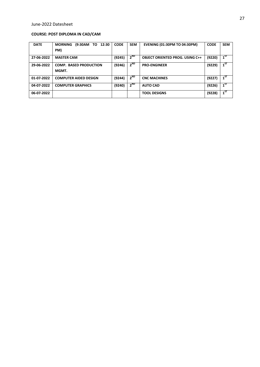#### **COURSE: POST DIPLOMA IN CAD/CAM**

| <b>DATE</b> | TO<br><b>MORNING</b><br>(9:30AM<br>12:30 | <b>CODE</b> | <b>SEM</b> | <b>EVENING (01:30PM TO 04:30PM)</b>    | <b>CODE</b> | <b>SEM</b>      |
|-------------|------------------------------------------|-------------|------------|----------------------------------------|-------------|-----------------|
|             | PM)                                      |             |            |                                        |             |                 |
| 27-06-2022  | <b>MASTER CAM</b>                        | (9245)      | $2^{ND}$   | <b>OBJECT ORIENTED PROG. USING C++</b> | (9220)      | $1^{57}$        |
| 29-06-2022  | <b>COMP. BASED PRODUCTION</b>            | (9246)      | $2^{ND}$   | <b>PRO-ENGINEER</b>                    | (9229)      | 1 <sup>ST</sup> |
|             | MGMT.                                    |             |            |                                        |             |                 |
| 01-07-2022  | <b>COMPUTER AIDED DESIGN</b>             | (9244)      | $2^{ND}$   | <b>CNC MACHINES</b>                    | (9227)      | 1 <sup>ST</sup> |
| 04-07-2022  | <b>COMPUTER GRAPHICS</b>                 | (9240)      | $2^{ND}$   | <b>AUTO CAD</b>                        | (9226)      | 1 <sup>ST</sup> |
| 06-07-2022  |                                          |             |            | <b>TOOL DESIGNS</b>                    | (9228)      | 1 <sup>ST</sup> |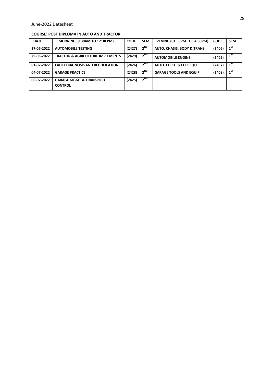#### **COURSE: POST DIPLOMA IN AUTO AND TRACTOR**

| <b>DATE</b> | <b>MORNING (9:30AM TO 12:30 PM)</b>                  | <b>CODE</b> | <b>SEM</b> | <b>EVENING (01:30PM TO 04:30PM)</b> | <b>CODE</b> | <b>SEM</b>                        |
|-------------|------------------------------------------------------|-------------|------------|-------------------------------------|-------------|-----------------------------------|
| 27-06-2022  | <b>AUTOMOBILE TESTING</b>                            | (2427)      | $2^{ND}$   | AUTO. CHASIS, BODY & TRANS.         | (2406)      | $1$ <sup><math>&gt;1</math></sup> |
| 29-06-2022  | <b>TRACTOR &amp; AGRICULTURE IMPLEMENTS</b>          | (2429)      | $2^{ND}$   | <b>AUTOMOBILE ENGINE</b>            | (2405)      | 1 <sup>ST</sup>                   |
| 01-07-2022  | <b>FAULT DIAGNOSIS AND RECTIFICATION</b>             | (2426)      | $2^{ND}$   | AUTO. ELECT. & ELEC EQU.            | (2407)      |                                   |
| 04-07-2022  | <b>GARAGE PRACTICE</b>                               | (2428)      | $2^{ND}$   | <b>GARAGE TOOLS AND EQUIP</b>       | (2408)      | $1^{57}$                          |
| 06-07-2022  | <b>GARAGE MGMT &amp; TRANSPORT</b><br><b>CONTROL</b> | (2425)      | $2^{ND}$   |                                     |             |                                   |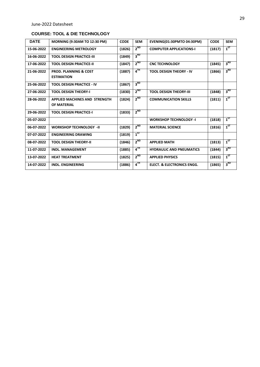#### **COURSE: TOOL & DIE TECHNOLOGY**

| <b>DATE</b> | <b>MORNING (9:30AM TO 12:30 PM)</b>                        | <b>CODE</b> | <b>SEM</b>      | <b>EVENING(01:30PMTO 04:30PM)</b>     | <b>CODE</b> | <b>SEM</b>      |
|-------------|------------------------------------------------------------|-------------|-----------------|---------------------------------------|-------------|-----------------|
| 15-06-2022  | <b>ENGINEERING METROLOGY</b>                               | (1826)      | $2^{ND}$        | <b>COMPUTER APPLICATIONS-I</b>        | (1817)      | $1^{ST}$        |
| 16-06-2022  | <b>TOOL DESIGN PRACTICE-III</b>                            | (1849)      | 3 <sup>RD</sup> |                                       |             |                 |
| 17-06-2022  | <b>TOOL DESIGN PRACTICE-II</b>                             | (1847)      | $2^{ND}$        | <b>CNC TECHNOLOGY</b>                 | (1845)      | 3 <sup>RD</sup> |
| 21-06-2022  | <b>PROD. PLANNING &amp; COST</b><br><b>ESTIMATION</b>      | (1887)      | $4^{TH}$        | <b>TOOL DESIGN THEORY - IV</b>        | (1866)      | 3 <sup>RD</sup> |
| 25-06-2022  | <b>TOOL DESIGN PRACTICE - IV</b>                           | (1867)      | 3 <sup>RD</sup> |                                       |             |                 |
| 27-06-2022  | <b>TOOL DESIGN THEORY-I</b>                                | (1830)      | $2^{ND}$        | <b>TOOL DESIGN THEORY-III</b>         | (1848)      | 3 <sup>RD</sup> |
| 28-06-2022  | <b>APPLIED MACHINES AND STRENGTH</b><br><b>OF MATERIAL</b> | (1824)      | $2^{ND}$        | <b>COMMUNICATION SKILLS</b>           | (1811)      | $1^{5T}$        |
| 29-06-2022  | <b>TOOL DESIGN PRACTICE-I</b>                              | (1833)      | $2^{ND}$        |                                       |             |                 |
| 05-07-2022  |                                                            |             |                 | <b>WORKSHOP TECHNOLOGY -I</b>         | (1818)      | $1^{5T}$        |
| 06-07-2022  | <b>WORKSHOP TECHNOLOGY -II</b>                             | (1829)      | $2^{ND}$        | <b>MATERIAL SCIENCE</b>               | (1816)      | $1^{ST}$        |
| 07-07-2022  | <b>ENGINEERING DRAWING</b>                                 | (1819)      | $1^{ST}$        |                                       |             |                 |
| 08-07-2022  | <b>TOOL DESIGN THEORY-II</b>                               | (1846)      | $2^{ND}$        | <b>APPLIED MATH</b>                   | (1813)      | $1^{ST}$        |
| 11-07-2022  | <b>INDL. MANAGEMENT</b>                                    | (1885)      | $4^{TH}$        | <b>HYDRAULIC AND PNEUMATICS</b>       | (1844)      | 3 <sup>RD</sup> |
| 13-07-2022  | <b>HEAT TREATMENT</b>                                      | (1825)      | $2^{ND}$        | <b>APPLIED PHYSICS</b>                | (1815)      | $1^{5T}$        |
| 14-07-2022  | <b>INDL. ENGINEERING</b>                                   | (1886)      | $4^{TH}$        | <b>ELECT. &amp; ELECTRONICS ENGG.</b> | (1865)      | 3 <sup>RD</sup> |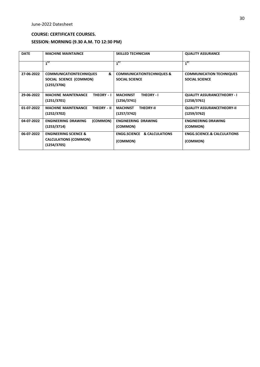#### **COURSE: CERTIFICATE COURSES.**

#### **SESSION: MORNING (9.30 A.M. TO 12:30 PM)**

| <b>MACHINE MAINTAINCE</b>                        | <b>SKILLED TECHNICIAN</b>              | <b>QUALITY ASSURANCE</b>               |
|--------------------------------------------------|----------------------------------------|----------------------------------------|
| $1^{57}$                                         | $1^{5T}$                               | $1^{5T}$                               |
| &<br><b>COMMUNICATIONTECHNIQUES</b>              | <b>COMMUNICATIONTECHNIQUES &amp;</b>   | <b>COMMUNICATION TECHNIQUES</b>        |
| SOCIAL SCIENCE (COMMON)                          | <b>SOCIAL SCIENCE</b>                  | <b>SOCIAL SCIENCE</b>                  |
|                                                  |                                        |                                        |
| <b>MACHINE MAINTENANCE</b>                       | <b>MACHINIST</b><br><b>THEORY - I</b>  | <b>QUALITY ASSURANCETHEORY - I</b>     |
| (1251/3701)                                      | (1256/3741)                            | (1258/3761)                            |
| <b>MACHINE MAINTENANCE</b><br><b>THEORY - II</b> | <b>MACHNIST</b><br><b>THEORY-II</b>    | <b>QUALITY ASSURANCETHEORY-II</b>      |
| (1252/3702)                                      | (1257/3742)                            | (1259/3762)                            |
| (COMMON)<br><b>ENGINEERING DRAWING</b>           | <b>ENGINEERING DRAWING</b>             | <b>ENGINEERING DRAWING</b>             |
| (1253/3714)                                      | (COMMON)                               | (COMMON)                               |
| <b>ENGINEERING SCIENCE &amp;</b>                 | <b>ENGG.SCIENCE &amp; CALCULATIONS</b> | <b>ENGG.SCIENCE.&amp; CALCULATIONS</b> |
| <b>CALCULATIONS (COMMON)</b><br>(1254/3705)      | (COMMON)                               | (COMMON)                               |
|                                                  | (1255/3706)                            | THEORY - I                             |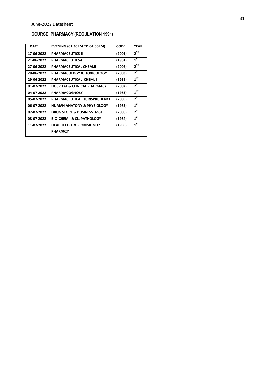# **COURSE: PHARMACY (REGULATION 1991)**

| <b>DATE</b> | <b>EVENING (01:30PM TO 04:30PM)</b>     | <b>CODE</b> | <b>YEAR</b> |
|-------------|-----------------------------------------|-------------|-------------|
| 17-06-2022  | <b>PHARMACEUTICS-II</b>                 | (2001)      | $2^{ND}$    |
| 21-06-2022  | <b>PHARMACEUTICS-I</b>                  | (1981)      | $1^{ST}$    |
| 27-06-2022  | PHARMACEUTICAL CHEM.II                  | (2002)      | $2^{ND}$    |
| 28-06-2022  | PHARMACOLOGY & TOXICOLOGY               | (2003)      | $2^{ND}$    |
| 29-06-2022  | PHARMACEUTICAL CHEM.-I                  | (1982)      | $1^{ST}$    |
| 01-07-2022  | <b>HOSPITAL &amp; CLINICAL PHARMACY</b> | (2004)      | $2^{ND}$    |
| 04-07-2022  | <b>PHARMACOGNOSY</b>                    | (1983)      | $1^{ST}$    |
| 05-07-2022  | PHARMACEUTICAL JURISPRUDENCE            | (2005)      | $2^{ND}$    |
| 06-07-2022  | <b>HUMAN ANATONY &amp; PHYSIOLOGY</b>   | (1985)      | $1^{5T}$    |
| 07-07-2022  | DRUG STORE & BUSINESS MGT.              | (2006)      | $2^{ND}$    |
| 08-07-2022  | <b>BIO-CHEMI &amp; CL. PATHOLOGY</b>    | (1984)      | $1^{ST}$    |
| 11-07-2022  | <b>HEALTH EDU &amp; COMMUNITY</b>       | (1986)      | $1^{ST}$    |
|             | <b>PHARMACY</b>                         |             |             |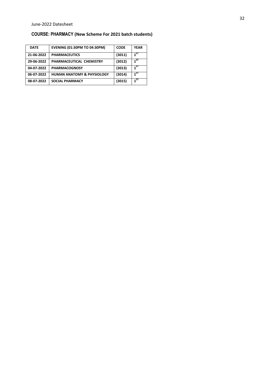### **COURSE: PHARMACY (New Scheme For 2021 batch students)**

| <b>DATE</b> | <b>EVENING (01:30PM TO 04:30PM)</b>   | <b>CODE</b> | <b>YEAR</b> |
|-------------|---------------------------------------|-------------|-------------|
| 21-06-2022  | <b>PHARMACEUTICS</b>                  | (3011)      | $1^{57}$    |
| 29-06-2022  | PHARMACEUTICAL CHEMISTRY              | (3012)      | $1^{57}$    |
| 04-07-2022  | <b>PHARMACOGNOSY</b>                  | (3013)      | $1^{ST}$    |
| 06-07-2022  | <b>HUMAN ANATOMY &amp; PHYSIOLOGY</b> | (3014)      | $1^{ST}$    |
| 08-07-2022  | <b>SOCIAL PHARMACY</b>                | (3015)      | $1^{51}$    |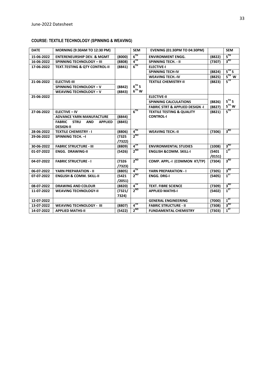#### **COURSE: TEXTILE TECHNOLOGY (SPINNING & WEAVING)**

| <b>DATE</b> | MORNING (9:30AM TO 12:30 PM)                                 |        | <b>SEM</b> | <b>EVENING (01:30PM TO 04:30PM)</b>        |        | <b>SEM</b>          |
|-------------|--------------------------------------------------------------|--------|------------|--------------------------------------------|--------|---------------------|
| 15-06-2022  | <b>ENTERENEURSHIP DEV. &amp; MGMT</b>                        | (8000) | $6^{TH}$   | <b>ENVIRONMENT ENGG.</b>                   | (8822) | $5^{\text{TH}}$     |
| 16-06-2022  | <b>SPINNING TECHNOLOGY - III</b>                             | (8808) | $4^{TH}$   | <b>SPINNING TECH. - II</b>                 | (7307) | 3 <sup>RD</sup>     |
| 17-06-2022  | <b>TEXT.TESTING &amp; QTY CONTROL-II</b>                     | (8841) | $6^{TH}$   | <b>ELECTIVE-I</b>                          |        |                     |
|             |                                                              |        |            | <b>SPINNING TECH-IV</b>                    | (8824) | $5^{\text{TH}}$ $S$ |
|             |                                                              |        |            | <b>WEAVING TECH.-IV</b>                    | (8825) | $5TH$ W             |
| 21-06-2022  | <b>ELECTIVE-III</b>                                          |        |            | <b>TEXTILE CHEMISTRY-II</b>                | (8823) | $5^{\text{TH}}$     |
|             | SPINNING TECHNOLOGY - V                                      | (8842) | $6^{TH}$ S |                                            |        |                     |
|             | <b>WEAVING TECHNOLOGY - V</b>                                | (8843) | $6^{TH}$ W |                                            |        |                     |
| 25-06-2022  |                                                              |        |            | <b>ELECTIVE-II</b>                         |        |                     |
|             |                                                              |        |            | <b>SPINNING CALCULATIONS</b>               | (8826) | $5^{\text{TH}}$ S   |
|             |                                                              |        |            | <b>FABRIC STRT &amp; APPLIED DESIGN -I</b> | (8827) | $5TH$ W             |
| 27-06-2022  | <b>ELECTIVE - IV</b>                                         |        | $6^{TH}$   | <b>TEXTILE TESTING &amp; QUALITY</b>       | (8821) | $5^{\text{TH}}$     |
|             | <b>ADVANCE YARN MANUFACTURE</b>                              | (8844) |            | <b>CONTROL-I</b>                           |        |                     |
|             | <b>STRU</b><br><b>APPLIED</b><br><b>FABRIC</b><br><b>AND</b> | (8845) |            |                                            |        |                     |
|             | <b>DESIGN-II</b>                                             |        |            |                                            |        |                     |
| 28-06-2022  | <b>TEXTILE CHEMISTRY - I</b>                                 | (8806) | $4^{TH}$   | <b>WEAVING TECH.-II</b>                    | (7306) | 3 <sup>RD</sup>     |
| 29-06-2022  | SPINNING TECH. - I                                           | (7325  | $2^{ND}$   |                                            |        |                     |
|             |                                                              | (7322) |            |                                            |        |                     |
| 30-06-2022  | <b>FABRIC STRUCTURE - III</b>                                | (8809) | $4^{TH}$   | <b>ENVIRONMENTAL STUDIES</b>               | (1008) | 3 <sup>RD</sup>     |
| 01-07-2022  | <b>ENGG. DRAWING-II</b>                                      | (5426) | $2^{ND}$   | <b>ENGLISH &amp;COMM. SKILL-I</b>          | (5401  | $1^{5T}$            |
|             |                                                              |        |            |                                            | /0151) |                     |
| 04-07-2022  | <b>FABRIC STRUCTURE - I</b>                                  | (7326  | $2^{ND}$   | COMP. APPL.-I (COMMON KT/TP)               | (7304) | 3 <sup>RD</sup>     |
|             |                                                              | /7323) |            |                                            |        |                     |
| 06-07-2022  | <b>YARN PREPARATION - II</b>                                 | (8805) | $4^{TH}$   | <b>YARN PREPARATION - I</b>                | (7305) | 3 <sup>RD</sup>     |
| 07-07-2022  | <b>ENGLISH &amp; COMM. SKILL-II</b>                          | (5421  | $2^{ND}$   | <b>ENGG. DRG-I</b>                         | (5405) | $1^{ST}$            |
|             |                                                              | /2051) |            |                                            |        |                     |
| 08-07-2022  | <b>DRAWING AND COLOUR</b>                                    | (8820) | $4^{TH}$   | <b>TEXT. FIBRE SCIENCE</b>                 | (7309) | $3^{RD}$            |
| 11-07-2022  | <b>WEAVING TECHNOLOGY-II</b>                                 | (7321/ | $2^{ND}$   | <b>APPLIED MATHS-I</b>                     | (5402) | $1^{5T}$            |
|             |                                                              | 7324)  |            |                                            |        |                     |
| 12-07-2022  |                                                              |        |            | <b>GENERAL ENGINEERING</b>                 | (7000) | $1^{57}$            |
| 13-07-2022  | <b>WEAVING TECHNOLOGY - III</b>                              | (8807) | $4^{TH}$   | <b>FABRIC STRUCTURE - II</b>               | (7308) | $3^{RD}$            |
| 14-07-2022  | <b>APPLIED MATHS-II</b>                                      | (5422) | $2^{ND}$   | <b>FUNDAMENTAL CHEMISTRY</b>               | (7303) | $1^{5T}$            |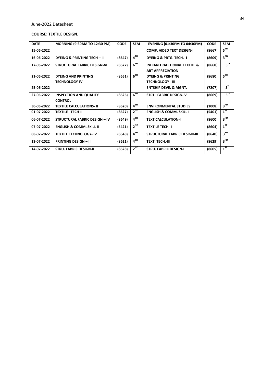#### **COURSE: TEXTILE DESIGN.**

| <b>DATE</b> | <b>MORNING (9:30AM TO 12:30 PM)</b>    | <b>CODE</b> | <b>SEM</b>           | <b>EVENING (01:30PM TO 04:30PM)</b>     | <b>CODE</b> | <b>SEM</b>                                              |
|-------------|----------------------------------------|-------------|----------------------|-----------------------------------------|-------------|---------------------------------------------------------|
| 15-06-2022  |                                        |             |                      | <b>COMP. AIDED TEXT DESIGN-I</b>        | (8667)      | $\overline{\mathsf{s}}^{\scriptscriptstyle\mathsf{TH}}$ |
| 16-06-2022  | <b>DYEING &amp; PRINTING TECH - II</b> | (8647)      | $4^{TH}$             | <b>DYEING &amp; PRTG. TECH. - I</b>     | (8609)      | 3 <sup>RD</sup>                                         |
| 17-06-2022  | <b>STRUCTURAL FABRIC DESIGN-VI</b>     | (8622)      | $6^{TH}$             | <b>INDIAN TRADITIONAL TEXTILE &amp;</b> | (8668)      | 5TH                                                     |
|             |                                        |             |                      | <b>ART APPRECIATION</b>                 |             |                                                         |
| 21-06-2022  | <b>DYEING AND PRINTING</b>             | (8651)      | $6^{TH}$             | <b>DYEING &amp; PRINTING</b>            | (8680)      | $5^{\text{TH}}$                                         |
|             | <b>TECHNOLOGY-IV</b>                   |             |                      | <b>TECHNOLOGY - III</b>                 |             |                                                         |
| 25-06-2022  |                                        |             |                      | <b>ENTSHIP DEVE. &amp; MGNT.</b>        | (7207)      | $5^{\text{TH}}$                                         |
| 27-06-2022  | <b>INSPECTION AND QUALITY</b>          | (8626)      | $6^{TH}$             | <b>STRT. FABRIC DESIGN-V</b>            | (8669)      | $5^{\text{TH}}$                                         |
|             | <b>CONTROL</b>                         |             |                      |                                         |             |                                                         |
| 30-06-2022  | <b>TEXTILE CALCULATIONS- II</b>        | (8620)      | $4^{TH}$             | <b>ENVIRONMENTAL STUDIES</b>            | (1008)      | 3 <sup>RD</sup>                                         |
| 01-07-2022  | <b>TEXTILE TECH-II</b>                 | (8627)      | $2^{ND}$             | <b>ENGLISH &amp; COMM. SKILL-I</b>      | (5401)      | $1^{5T}$                                                |
| 06-07-2022  | <b>STRUCTURAL FABRIC DESIGN - IV</b>   | (8649)      | $4^{TH}$             | <b>TEXT CALCULATION-I</b>               | (8600)      | 3 <sup>RD</sup>                                         |
| 07-07-2022  | <b>ENGLISH &amp; COMM. SKILL-II</b>    | (5421)      | $2^{ND}$             | <b>TEXTILE TECH.-I</b>                  | (8604)      | $1^{ST}$                                                |
| 08-07-2022  | <b>TEXTILE TECHNOLOGY- IV</b>          | (8648)      | $4^{TH}$             | <b>STRUCTURAL FABRIC DESIGN-III</b>     | (8640)      | 3 <sup>RD</sup>                                         |
| 13-07-2022  | <b>PRINTING DESIGN - II</b>            | (8621)      | $4^{\overline{111}}$ | <b>TEXT. TECH.-III</b>                  | (8629)      | 3 <sup>RD</sup>                                         |
| 14-07-2022  | <b>STRU. FABRIC DESIGN-II</b>          | (8628)      | $2^{ND}$             | <b>STRU. FABRIC DESIGN-I</b>            | (8605)      | $1^{5T}$                                                |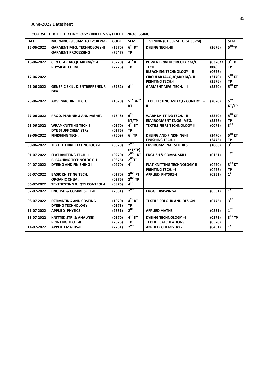#### **COURSE: TEXTILE TECHNOLOGY (KNITTING)/TEXTILE PROCESSING**

| <b>DATE</b> | MORNING (9:30AM TO 12:30 PM)                                     | <b>CODE</b>      | <b>SEM</b>                           | <b>EVENING (01:30PM TO 04:30PM)</b>                                         |                            | <b>SEM</b>                      |
|-------------|------------------------------------------------------------------|------------------|--------------------------------------|-----------------------------------------------------------------------------|----------------------------|---------------------------------|
| 15-06-2022  | <b>GARMENT MFG. TECHNOLOGY-II</b><br><b>GARMENT PROCESSING</b>   | (1570)<br>(7647) | $6^{TH}$ KT<br><b>TP</b>             | <b>DYEING TECH.-III</b>                                                     | (2676)                     | 5 <sup>TH</sup> TP              |
| 16-06-2022  | <b>CIRCULAR JACQUARD M/C-I</b><br>PHYSICAL CHEM.                 | (0770)<br>(2276) | $4TH$ KT<br><b>TP</b>                | POWER DRIVEN CIRCULAR M/C<br><b>TECH</b><br><b>BLEACHING TECHNOLOGY -II</b> | (0370/7)<br>006)<br>(0676) | 3 <sup>RD</sup> KT<br><b>TP</b> |
| 17-06-2022  |                                                                  |                  |                                      | <b>CIRCULAR JACQUQARD M/C-II</b><br><b>PRINTING TECH.-III</b>               | (2170)<br>(2576)           | $5TH$ KT<br><b>TP</b>           |
| 21-06-2022  | <b>GENERIC SKILL &amp; ENTREPRENEUR</b><br>DEV.                  | (6782)           | $6^{TH}$                             | <b>GARMENT MFG. TECH. - I</b>                                               | (2370)                     | $5^{TH}$ KT                     |
| 25-06-2022  | ADV. MACHINE TECH.                                               | (1670)           | $5^{TH}/6^{TH}$<br>КT                | TEXT. TESTING AND QTY CONTROL -<br>Ш                                        | (2070)                     | $5^{\rm{TH}}$<br>KT/TP          |
| 27-06-2022  | PROD. PLANNING AND MGMT.                                         | (7648)           | $6^{TH}$<br>KT/TP                    | <b>WARP KNITTING TECH. - II</b><br><b>ENVIRONMENT ENGG. MFG.</b>            | (2270)<br>(2376)           | $5^{\text{TH}}$ KT<br><b>TP</b> |
| 28-06-2022  | <b>WRAP KNITTING TECH-I</b><br>DYE STUFF CHEMISTRY               | (0870)<br>(0176) | $4TH$ KT<br>ТP                       | <b>TEXTILE FIBRE TECHNOLOGY-II</b>                                          | (0076)                     | 3 <sup>RD</sup>                 |
| 29-06-2022  | <b>FINISHING TECH.</b>                                           | (7609)           | 6 <sup>TH</sup> TP                   | <b>DYEING AND FINISHING-II</b><br><b>FINISHING TECH.-I</b>                  | (2470)<br>(2476)           | 5 <sup>TH</sup> KT<br>ТP        |
| 30-06-2022  | <b>TEXTILE FIBRE TECHNOLOGY-I</b>                                | (0070)           | $2^{ND}$<br>(KT/TP)                  | <b>ENVIRONMENAL STUDIES</b>                                                 | (1008)                     | 3 <sup>RD</sup>                 |
| 01-07-2022  | <b>FLAT KNITTING TECH. - I</b><br><b>BLEACHING TECHNOLOGY -I</b> | (0270)<br>(0376) | $2^{ND}$ KT<br>$2^{ND}TP$            | <b>ENGLISH &amp; COMM. SKILL-I</b>                                          | (0151)                     | $1^{ST}$                        |
| 04-07-2022  | <b>DYEING AND FINISHING-I</b>                                    | (0970)           | $4^{TH}$                             | <b>FLAT KNITTING TECHNOLOGY-II</b><br><b>PRINTING TECH. - I</b>             | (0470)<br>(0476)           | $3^{RD}$ KT<br><b>TP</b>        |
| 05-07-2022  | <b>BASIC KNITTING TECH.</b><br>ORGANIC CHEM.                     | (0170)<br>(0276) | $2^{ND}$<br><b>KT</b><br>$2^{ND}$ TP | <b>APPLIED PHYSICS-I</b>                                                    | (0351)                     | $1^{5T}$                        |
| 06-07-2022  | <b>TEXT TESTING &amp; QTY CONTROL-I</b>                          | (0976)           | $4^{TH}$                             |                                                                             |                            |                                 |
| 07-07-2022  | <b>ENGLISH &amp; COMM. SKILL-II</b>                              | (2051)           | $2^{ND}$                             | <b>ENGG. DRAWING-I</b>                                                      | (0551)                     | $1^{5T}$                        |
| 08-07-2022  | <b>ESTIMATING AND COSTING</b><br><b>DYEING TECHNOLOGY -II</b>    | (1070)<br>(0876) | $4TH$ KT<br><b>TP</b>                | <b>TEXTILE COLOUR AND DESIGN</b>                                            | (0776)                     | 3 <sup>RD</sup>                 |
| 11-07-2022  | <b>APPLIED PHYSICS-II</b>                                        | (2351)           | $2^{ND}$                             | <b>APPLIED MATHS-I</b>                                                      | (0251)                     | $1^{57}$                        |
| 13-07-2022  | <b>KNITTED STR. &amp; ANALYSIS</b><br><b>PRINTING TECH.-II</b>   | (0670)<br>(2076) | $4TH$ KT<br>ТP                       | <b>DYEING TECHNOLOGY-I</b><br><b>TEXTILE CALCULATIONS</b>                   | (0576)<br>(0570)           | $3^{RD}$ TP                     |
| 14-07-2022  | <b>APPLIED MATHS-II</b>                                          | (2251)           | $2^{ND}$                             | <b>APPLIED CHEMISTRY - I</b>                                                | (0451)                     | $1^{5T}$                        |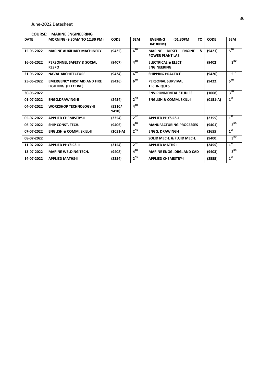#### **COURSE: MARINE ENGINEERING**

| <b>DATE</b> | <b>MORNING (9:30AM TO 12:30 PM)</b>                               | <b>CODE</b>     | <b>SEM</b>      | TO<br><b>EVENING</b><br>(01:30PM<br>04:30PM)                                   | <b>CODE</b> | <b>SEM</b>      |
|-------------|-------------------------------------------------------------------|-----------------|-----------------|--------------------------------------------------------------------------------|-------------|-----------------|
| 15-06-2022  | <b>MARINE AUXILIARY MACHINERY</b>                                 | (9425)          | $6^{TH}$        | <b>ENGINE</b><br>&<br><b>MARINE</b><br><b>DIESEL</b><br><b>POWER PLANT LAB</b> | (9421)      | $5^{\rm TH}$    |
| 16-06-2022  | <b>PERSONNEL SAFETY &amp; SOCIAL</b><br><b>RESPO</b>              | (9407)          | $4^{TH}$        | <b>ELECTRICAL &amp; ELECT.</b><br><b>ENGINEERING</b>                           | (9402)      | 3 <sup>RD</sup> |
| 21-06-2022  | <b>NAVAL ARCHITECTURE</b>                                         | (9424)          | $6^{TH}$        | <b>SHIPPING PRACTICE</b>                                                       | (9420)      | $5^{\rm{TH}}$   |
| 25-06-2022  | <b>EMERGENCY FIRST AID AND FIRE</b><br><b>FIGHTING (ELECTIVE)</b> | (9426)          | $6^{TH}$        | <b>PERSONAL SURVIVAL</b><br><b>TECHNIQUES</b>                                  | (9422)      | $5^{TH}$        |
| 30-06-2022  |                                                                   |                 |                 | <b>ENVIRONMENTAL STUDIES</b>                                                   | (1008)      | $3^{RD}$        |
| 01-07-2022  | <b>ENGG.DRAWING-II</b>                                            | (2454)          | $2^{ND}$        | <b>ENGLISH &amp; COMM. SKILL-I</b>                                             | $(0151-A)$  | $1^{ST}$        |
| 04-07-2022  | <b>WORKSHOP TECHNOLOGY-II</b>                                     | (5310/<br>9410) | $4^{TH}$        |                                                                                |             |                 |
| 05-07-2022  | <b>APPLIED CHEMISTRY-II</b>                                       | (2254)          | $2^{ND}$        | <b>APPLIED PHYSICS-I</b>                                                       | (2355)      | $1^{ST}$        |
| 06-07-2022  | SHIP CONST. TECH.                                                 | (9406)          | $4^{\text{TH}}$ | <b>MANUFACTURING PROCESSES</b>                                                 | (9401)      | 3 <sup>RD</sup> |
| 07-07-2022  | <b>ENGLISH &amp; COMM. SKILL-II</b>                               | $(2051-A)$      | $2^{ND}$        | <b>ENGG. DRAWING-I</b>                                                         | (2655)      | $1^{57}$        |
| 08-07-2022  |                                                                   |                 |                 | SOLID MECH. & FLUID MECH.                                                      | (9400)      | 3 <sup>RD</sup> |
| 11-07-2022  | <b>APPLIED PHYSICS-II</b>                                         | (2154)          | $2^{ND}$        | <b>APPLIED MATHS-I</b>                                                         | (2455)      | $1^{57}$        |
| 13-07-2022  | <b>MARINE WELDING TECH.</b>                                       | (9408)          | $4^{TH}$        | <b>MARINE ENGG. DRG. AND CAD</b>                                               | (9403)      | 3 <sup>RD</sup> |
| 14-07-2022  | <b>APPLIED MATHS-II</b>                                           | (2354)          | $2^{ND}$        | <b>APPLIED CHEMISTRY-I</b>                                                     | (2555)      | $1^{5T}$        |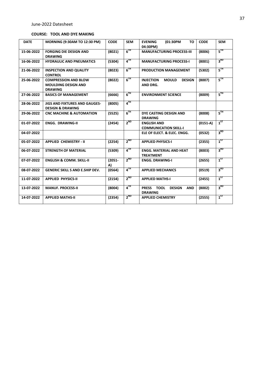#### **COURSE: TOOL AND DYE MAKING**

| <b>DATE</b> | MORNING (9:30AM TO 12:30 PM)                                                | <b>CODE</b>     | <b>SEM</b>                 | <b>EVENING</b><br>(01:30PM<br><b>TO</b><br>04:30PM)                          | <b>CODE</b> | <b>SEM</b>      |
|-------------|-----------------------------------------------------------------------------|-----------------|----------------------------|------------------------------------------------------------------------------|-------------|-----------------|
| 15-06-2022  | <b>FORGING DIE DESIGN AND</b><br><b>DRAWING</b>                             | (8021)          | $6^{TH}$                   | <b>MANUFACTURING PROCESS-III</b>                                             | (8006)      | $5^{\text{TH}}$ |
| 16-06-2022  | <b>HYDRAULIC AND PNEUMATICS</b>                                             | (5304)          | $4^{TH}$                   | <b>MANUFACTURING PROCESS-I</b>                                               | (8001)      | 3 <sup>RD</sup> |
| 21-06-2022  | <b>INSPECTION AND QUALITY</b><br><b>CONTROL</b>                             | (8023)          | $6^{TH}$                   | <b>PRODUCTION MANAGEMENT</b>                                                 | (5302)      | $5^{\rm{TH}}$   |
| 25-06-2022  | <b>COMPRESSION AND BLOW</b><br><b>MOULDING DESIGN AND</b><br><b>DRAWING</b> | (8022)          | $6^{TH}$                   | <b>INJECTION</b><br><b>MOULD</b><br><b>DESIGN</b><br>AND DRG.                | (8007)      | $5^{\rm{TH}}$   |
| 27-06-2022  | <b>BASICS OF MANAGEMENT</b>                                                 | (6666)          | $6^{TH}$                   | <b>ENVIRONMENT SCIENCE</b>                                                   | (8009)      | $5^{\text{TH}}$ |
| 28-06-2022  | <b>JIGS AND FIXTURES AND GAUGES-</b><br><b>DESIGN &amp; DRAWING</b>         | (8005)          | $\mathbf{A}^{\mathsf{TH}}$ |                                                                              |             |                 |
| 29-06-2022  | <b>CNC MACHINE &amp; AUTOMATION</b>                                         | (5525)          | $6^{TH}$                   | DYE CASTING DESIGN AND<br><b>DRAWING</b>                                     | (8008)      | $5^{\rm{TH}}$   |
| 01-07-2022  | <b>ENGG. DRAWING-II</b>                                                     | (2454)          | $2^{ND}$                   | <b>ENGLISH AND</b><br><b>COMMUNICATION SKILL-I</b>                           | $(0151-A)$  | $1^{5T}$        |
| 04-07-2022  |                                                                             |                 |                            | ELE OF ELECT. & ELEC. ENGG.                                                  | (0532)      | 3 <sup>RD</sup> |
| 05-07-2022  | <b>APPLIED CHEMISTRY - II</b>                                               | (2254)          | $2^{ND}$                   | <b>APPLIED PHYSICS-I</b>                                                     | (2355)      | $1^{ST}$        |
| 06-07-2022  | <b>STRENGTH OF MATERIAL</b>                                                 | (5309)          | $4^{TH}$                   | <b>ENGG. MATERIAL AND HEAT</b><br><b>TREATMENT</b>                           | (8003)      | 3 <sup>RD</sup> |
| 07-07-2022  | <b>ENGLISH &amp; COMM. SKILL-II</b>                                         | $(2051 -$<br>A) | $2^{ND}$                   | <b>ENGG. DRAWING-I</b>                                                       | (2655)      | $1^{ST}$        |
| 08-07-2022  | <b>GENERIC SKILL S AND E.SHIP DEV.</b>                                      | (0564)          | $4^{TH}$                   | <b>APPLIED MECHANICS</b>                                                     | (0519)      | 3 <sup>RD</sup> |
| 11-07-2022  | <b>APPLIED PHYSICS-II</b>                                                   | (2154)          | $2^{ND}$                   | <b>APPLIED MATHS-I</b>                                                       | (2455)      | $1^{5T}$        |
| 13-07-2022  | <b>MANUF. PROCESS-II</b>                                                    | (8004)          | $4^{\text{TH}}$            | <b>PRESS</b><br><b>TOOL</b><br><b>DESIGN</b><br><b>AND</b><br><b>DRAWING</b> | (8002)      | 3 <sup>RD</sup> |
| 14-07-2022  | <b>APPLIED MATHS-II</b>                                                     | (2354)          | $2^{ND}$                   | <b>APPLIED CHEMISTRY</b>                                                     | (2555)      | $1^{ST}$        |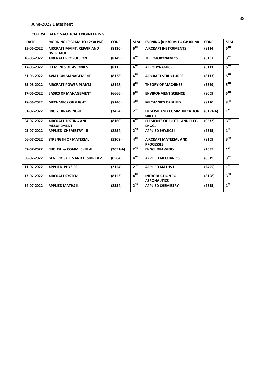#### **COURSE: AERONAUTICAL ENGINEERING**

| <b>DATE</b> | <b>MORNING (9:30AM TO 12:30 PM)</b>                  | <b>CODE</b> | <b>SEM</b>        | <b>EVENING (01:30PM TO 04:30PM)</b>              | <b>CODE</b> | <b>SEM</b>      |
|-------------|------------------------------------------------------|-------------|-------------------|--------------------------------------------------|-------------|-----------------|
| 15-06-2022  | <b>AIRCRAFT MAINT, REPAIR AND</b><br><b>OVERHAUL</b> | (8130)      | $6$ <sup>TH</sup> | <b>AIRCRAFT INSTRUMENTS</b>                      | (8114)      | $5^{\text{TH}}$ |
| 16-06-2022  | <b>AIRCRAFT PROPULSION</b>                           | (8149)      | $4^{TH}$          | <b>THERMODYNAMICS</b>                            | (8107)      | 3 <sup>RD</sup> |
| 17-06-2022  | <b>ELEMENTS OF AVIONICS</b>                          | (8115)      | $6^{TH}$          | <b>AERODYNAMICS</b>                              | (8111)      | $5^{\text{TH}}$ |
| 21-06-2022  | <b>AVIATION MANAGEMENT</b>                           | (8128)      | $6^{TH}$          | <b>AIRCRAFT STRUCTURES</b>                       | (8113)      | $5^{\text{TH}}$ |
| 25-06-2022  | <b>AIRCRAFT POWER PLANTS</b>                         | (8148)      | $6^{TH}$          | <b>THEORY OF MACHINES</b>                        | (5349)      | $5^{\text{TH}}$ |
| 27-06-2022  | <b>BASICS OF MANAGEMENT</b>                          | (6666)      | $6^{TH}$          | <b>ENVIRONMENT SCIENCE</b>                       | (8009)      | $5^{\text{TH}}$ |
| 28-06-2022  | <b>MECHANICS OF FLIGHT</b>                           | (8140)      | $4^{TH}$          | <b>MECHANICS OF FLUID</b>                        | (8110)      | 3 <sup>RD</sup> |
| 01-07-2022  | <b>ENGG. DRAWING-II</b>                              | (2454)      | $2^{ND}$          | <b>ENGLISH AND COMMUNICATION</b><br>SKILL-I      | $(0151-A)$  | $1^{ST}$        |
| 04-07-2022  | <b>AIRCRAFT TESTING AND</b><br><b>MESUREMENT</b>     | (8160)      | $4^{\text{TH}}$   | ELEMENTS OF ELECT. AND ELEC.<br>ENGG.            | (0532)      | 3 <sup>RD</sup> |
| 05-07-2022  | <b>APPLIED CHEMISTRY - II</b>                        | (2254)      | $2^{ND}$          | <b>APPLIED PHYSICS-I</b>                         | (2355)      | $1^{ST}$        |
| 06-07-2022  | <b>STRENGTH OF MATERIAL</b>                          | (5309)      | $4^{\text{TH}}$   | <b>AIRCRAFT MATERIAL AND</b><br><b>PROCESSES</b> | (8109)      | 3 <sup>RD</sup> |
| 07-07-2022  | <b>ENGLISH &amp; COMM. SKILL-II</b>                  | $(2051-A)$  | $2^{ND}$          | <b>ENGG. DRAWING-I</b>                           | (2655)      | $1^{5T}$        |
| 08-07-2022  | <b>GENERIC SKILLS AND E. SHIP DEV.</b>               | (0564)      | $4^{\text{TH}}$   | <b>APPLIED MECHANICS</b>                         | (0519)      | 3 <sup>RD</sup> |
| 11-07-2022  | <b>APPLIED PHYSICS-II</b>                            | (2154)      | $2^{ND}$          | <b>APPLIED MATHS-I</b>                           | (2455)      | $1^{ST}$        |
| 13-07-2022  | <b>AIRCRAFT SYSTEM</b>                               | (8153)      | $4^{TH}$          | <b>INTRODUCTION TO</b><br><b>AERONAUTICS</b>     | (8108)      | 3 <sup>RD</sup> |
| 14-07-2022  | <b>APPLIED MATHS-II</b>                              | (2354)      | $2^{ND}$          | <b>APPLIED CHEMISTRY</b>                         | (2555)      | $1^{ST}$        |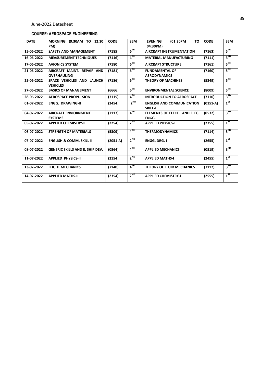#### **COURSE: AEROSPACE ENGINEERING**

| <b>DATE</b> | <b>MORNING</b><br>(9:30AM TO 12:30<br>PM)        | <b>CODE</b> | <b>SEM</b>                 | <b>EVENING</b><br>(01:30PM<br><b>TO</b><br>04:30PM) | <b>CODE</b> | <b>SEM</b>                     |
|-------------|--------------------------------------------------|-------------|----------------------------|-----------------------------------------------------|-------------|--------------------------------|
| 15-06-2022  | <b>SAFETY AND MANAGEMENT</b>                     | (7185)      | $6^{TH}$                   | <b>AIRCRAFT INSTRUMENTATION</b>                     | (7163)      | $5^{\rm{TH}}$                  |
| 16-06-2022  | <b>MEASUREMENT TECHNIQUES</b>                    | (7116)      | $\mathbf{A}^{\mathsf{TH}}$ | <b>MATERIAL MANUFACTURING</b>                       | (7111)      | 3 <sup>RD</sup>                |
| 17-06-2022  | <b>AVIONICS SYSTEM</b>                           | (7180)      | $6^{TH}$                   | <b>AIRCRAFT STRUCTURE</b>                           | (7161)      | $5^{\scriptscriptstyle\rm TH}$ |
| 21-06-2022  | AIRCRAFT MAINT. REPAIR AND<br><b>OVERHAULING</b> | (7181)      | $6^{TH}$                   | <b>FUNDAMENTAL OF</b><br><b>AERODYNAMICS</b>        | (7160)      | $5^{\text{TH}}$                |
| 25-06-2022  | SPACE VEHICLES AND LAUNCH<br><b>VEHICLES</b>     | (7186)      | $6^{TH}$                   | <b>THEORY OF MACHINES</b>                           | (5349)      | $5^{\rm TH}$                   |
| 27-06-2022  | <b>BASICS OF MANAGEMENT</b>                      | (6666)      | $6^{TH}$                   | <b>ENVIRONMENTAL SCIENCE</b>                        | (8009)      | $5^{\text{TH}}$                |
| 28-06-2022  | <b>AEROSPACE PROPULSION</b>                      | (7115)      | $4^{TH}$                   | <b>INTRODUCTION TO AEROSPACE</b>                    | (7110)      | 3 <sup>RD</sup>                |
| 01-07-2022  | <b>ENGG. DRAWING-II</b>                          | (2454)      | $2^{ND}$                   | <b>ENGLISH AND COMMUNICATION</b><br><b>SKILL-I</b>  | $(0151-A)$  | $1^{57}$                       |
| 04-07-2022  | <b>AIRCRAFT ENVIORNMENT</b><br><b>SYSTEMS</b>    | (7117)      | $4^{TH}$                   | ELEMENTS OF ELECT. AND ELEC.<br>ENGG.               | (0532)      | 3 <sup>RD</sup>                |
| 05-07-2022  | <b>APPLIED CHEMISTRY-II</b>                      | (2254)      | $2^{ND}$                   | <b>APPLIED PHYSICS-I</b>                            | (2355)      | $1^{5T}$                       |
| 06-07-2022  | <b>STRENGTH OF MATERIALS</b>                     | (5309)      | $4^{TH}$                   | <b>THERMODYNAMICS</b>                               | (7114)      | 3 <sup>RD</sup>                |
| 07-07-2022  | <b>ENGLISH &amp; COMM. SKILL-II</b>              | $(2051-A)$  | $2^{ND}$                   | <b>ENGG. DRG.-I</b>                                 | (2655)      | $1^{5T}$                       |
| 08-07-2022  | <b>GENERIC SKILLS AND E. SHIP DEV.</b>           | (0564)      | 4 <sup>TH</sup>            | <b>APPLIED MECHANICS</b>                            | (0519)      | 3 <sup>RD</sup>                |
| 11-07-2022  | <b>APPLIED PHYSICS-II</b>                        | (2154)      | $2^{ND}$                   | <b>APPLIED MATHS-I</b>                              | (2455)      | $1^{5T}$                       |
| 13-07-2022  | <b>FLIGHT MECHANICS</b>                          | (7140)      | $4^{TH}$                   | THEORY OF FLUID MECHANICS                           | (7112)      | 3 <sup>RD</sup>                |
| 14-07-2022  | <b>APPLIED MATHS-II</b>                          | (2354)      | $2^{ND}$                   | <b>APPLIED CHEMISTRY-I</b>                          | (2555)      | $1^{ST}$                       |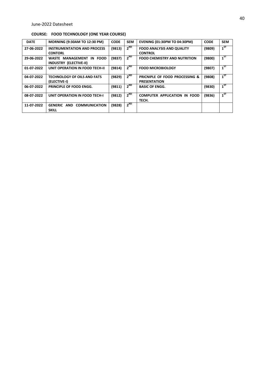#### **COURSE: FOOD TECHNOLOGY (ONE YEAR COURSE)**

| <b>DATE</b> | <b>MORNING (9:30AM TO 12:30 PM)</b>                           | <b>CODE</b> | <b>SEM</b> | <b>EVENING (01:30PM TO 04:30PM)</b>                   | <b>CODE</b> | <b>SEM</b> |
|-------------|---------------------------------------------------------------|-------------|------------|-------------------------------------------------------|-------------|------------|
| 27-06-2022  | <b>INSTRUMENTATION AND PROCESS</b><br><b>CONTORL</b>          | (9813)      | $2^{ND}$   | <b>FOOD ANALYSIS AND QUALITY</b><br><b>CONTROL</b>    | (9809)      | $1^{57}$   |
| 29-06-2022  | WASTE MANAGEMENT IN FOOD<br><b>INDUSTRY (ELECTIVE-II)</b>     | (9837)      | $2^{ND}$   | <b>FOOD CHEMISTRY AND NUTRITION</b>                   | (9800)      | $1^{57}$   |
| 01-07-2022  | UNIT OPERATION IN FOOD TECH-II                                | (9814)      | $2^{ND}$   | <b>FOOD MICROBIOLOGY</b>                              | (9807)      | $1^{57}$   |
| 04-07-2022  | <b>TECHNOLOGY OF OILS AND FATS</b><br>(ELECTIVE-I)            | (9829)      | $2^{ND}$   | PRICNIPLE OF FOOD PROCESSING &<br><b>PRESENTATION</b> | (9808)      | $1^{57}$   |
| 06-07-2022  | PRINCIPLE OF FOOD ENGG.                                       | (9811)      | $2^{ND}$   | <b>BASIC OF ENGG.</b>                                 | (9830)      | $1^{ST}$   |
| 08-07-2022  | UNIT OPERATION IN FOOD TECH-I                                 | (9812)      | $2^{ND}$   | <b>COMPUTER APPLICATION IN FOOD</b><br>TECH.          | (9836)      | $1^{57}$   |
| 11-07-2022  | <b>GENERIC</b><br><b>COMMUNICATION</b><br>AND<br><b>SKILL</b> | (9828)      | $2^{ND}$   |                                                       |             |            |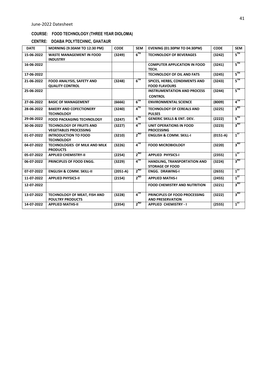#### **COURSE: FOOD TECHNOLOGY (THREE YEAR DIOLOMA)**

|  |  | CENTRE: DOABA POLYTECHNIC, GHATAUR |  |
|--|--|------------------------------------|--|
|--|--|------------------------------------|--|

| <b>DATE</b> | MORNING (9:30AM TO 12:30 PM)                                    | <b>CODE</b> | <b>SEM</b>      | <b>EVENING (01:30PM TO 04:30PM)</b>                      | <b>CODE</b> | <b>SEM</b>      |
|-------------|-----------------------------------------------------------------|-------------|-----------------|----------------------------------------------------------|-------------|-----------------|
| 15-06-2022  | <b>WASTE MANAGEMENT IN FOOD</b><br><b>INDUSTRY</b>              | (3249)      | $6^{TH}$        | <b>TECHNOLOGY OF BEVERAGES</b>                           | (3242)      | $5^{\rm TH}$    |
| 16-06-2022  |                                                                 |             |                 | <b>COMPUTER APPLICATION IN FOOD</b><br>TECH.             | (3241)      | $5^{\text{TH}}$ |
| 17-06-2022  |                                                                 |             |                 | <b>TECHNOLOGY OF OIL AND FATS</b>                        | (3245)      | $5^{\text{TH}}$ |
| 21-06-2022  | FOOD ANALYSIS, SAFETY AND<br><b>QUALITY CONTROL</b>             | (3248)      | $6^{TH}$        | SPICES, HERBS, CONDIMENTS AND<br><b>FOOD FLAVOURS</b>    | (3243)      | $5^{\text{th}}$ |
| 25-06-2022  |                                                                 |             |                 | <b>INSTRUMENTATION AND PROCESS</b><br><b>CONTROL</b>     | (3244)      | $5^{\text{TH}}$ |
| 27-06-2022  | <b>BASIC OF MANAGEMENT</b>                                      | (6666)      | $6^{\text{TH}}$ | <b>ENVIRONMENTAL SCIENCE</b>                             | (8009)      | $4^{TH}$        |
| 28-06-2022  | <b>BAKERY AND COFECTIONERY</b><br><b>TECHNOLOGY</b>             | (3240)      | $4^{\text{TH}}$ | <b>TECHNOLOGY OF CEREALS AND</b><br><b>PULSES</b>        | (3225)      | 3 <sup>RD</sup> |
| 29-06-2022  | <b>FOOD PACKAGING TECHNOLOGY</b>                                | (3247)      | $6^{TH}$        | <b>GENERIC SKILLS &amp; ENT. DEV.</b>                    | (2222)      | $5^{\text{TH}}$ |
| 30-06-2022  | <b>TECHNOLOGY OF FRUITS AND</b><br><b>VEGETABLES PROCESSING</b> | (3227)      | 4 <sup>TH</sup> | UNIT OPERATIONS IN FOOD<br><b>PROCESSING</b>             | (3223)      | 3 <sup>RD</sup> |
| 01-07-2022  | <b>INTRODUCTION TO FOOD</b><br><b>TECHNOLOGY</b>                | (3210)      | $2^{ND}$        | <b>ENGLISH &amp; COMM. SKILL-I</b>                       | $(0151-A)$  | $1^{ST}$        |
| 04-07-2022  | TECHNOLOGIES OF MILK AND MILK<br><b>PRODUCTS</b>                | (3226)      | $4^{TH}$        | <b>FOOD MICROBIOLOGY</b>                                 | (3220)      | 3 <sup>RD</sup> |
| 05-07-2022  | <b>APPLIED CHEMISTRY-II</b>                                     | (2254)      | $2^{ND}$        | <b>APPLIED PHYSICS-I</b>                                 | (2355)      | $1^{ST}$        |
| 06-07-2022  | PRINCIPLES OF FOOD ENGG.                                        | (3229)      | $4^{\text{TH}}$ | HANDLING, TRANSPORTATION AND<br><b>STORAGE OF FOOD</b>   | (3224)      | 3 <sup>RD</sup> |
| 07-07-2022  | <b>ENGLISH &amp; COMM. SKILL-II</b>                             | $(2051-A)$  | $2^{ND}$        | <b>ENGG. DRAWING-I</b>                                   | (2655)      | $1^{ST}$        |
| 11-07-2022  | <b>APPLIED PHYSICS-II</b>                                       | (2154)      | $2^{ND}$        | <b>APPLIED MATHS-I</b>                                   | (2455)      | $1^{ST}$        |
| 12-07-2022  |                                                                 |             |                 | <b>FOOD CHEMISTRY AND NUTRITION</b>                      | (3221)      | 3 <sup>RD</sup> |
| 13-07-2022  | TECHNOLOGY OF MEAT, FISH AND<br><b>POULTRY PRODUCTS</b>         | (3228)      | 4 <sup>TH</sup> | PRINCIPLES OF FOOD PROCESSING<br><b>AND PRESERVATION</b> | (3222)      | 3 <sup>RD</sup> |
| 14-07-2022  | <b>APPLIED MATHS-II</b>                                         | (2354)      | $2^{ND}$        | <b>APPLIED CHEMISTRY - I</b>                             | (2555)      | $1^{ST}$        |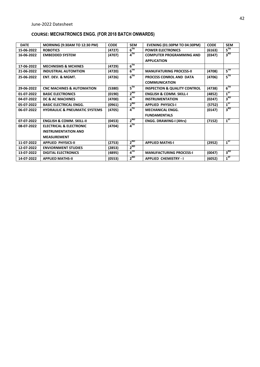# **COURSE: MECHATRONICS ENGG. (FOR 2018 BATCH ONWARDS)**

| <b>DATE</b> | MORNING (9:30AM TO 12:30 PM)             | <b>CODE</b> | <b>SEM</b>        | <b>EVENING (01:30PM TO 04:30PM)</b>     | <b>CODE</b> | <b>SEM</b>      |
|-------------|------------------------------------------|-------------|-------------------|-----------------------------------------|-------------|-----------------|
| 15-06-2022  | <b>ROBOTICS</b>                          | (4727)      | 6 <sup>TH</sup>   | <b>POWER ELECTRONICS</b>                | (6163)      | $5^{\text{TH}}$ |
| 16-06-2022  | <b>EMBEDDED SYSTEM</b>                   | (4707)      | $4^{TH}$          | <b>COMPUTER PROGRAMMING AND</b>         | (0347)      | 3 <sup>RD</sup> |
|             |                                          |             |                   | <b>APPLICATION</b>                      |             |                 |
| 17-06-2022  | <b>MECHNISMS &amp; MCHINES</b>           | (4729)      | $6^{TH}$          |                                         |             |                 |
| 21-06-2022  | <b>INDUSTRIAL AUTOMTION</b>              | (4720)      | 6 <sup>TH</sup>   | <b>MANUFATURING PROCESS-II</b>          | (4708)      | 5 <sup>TH</sup> |
| 25-06-2022  | <b>ENT. DEV. &amp; MGMT.</b>             | (4726)      | 6 <sup>TH</sup>   | PROCESS CONROL AND DATA                 | (4706)      | $5^{\text{TH}}$ |
|             |                                          |             |                   | <b>COMMUNICATION</b>                    |             |                 |
| 29-06-2022  | <b>CNC MACHINES &amp; AUTOMATION</b>     | (5380)      | $5^{\text{TH}}$   | <b>INSPECTION &amp; QUALITY CONTROL</b> | (4738)      | $6^{TH}$        |
| 01-07-2022  | <b>BASIC ELECTRONICS</b>                 | (0190)      | $2^{ND}$          | <b>ENGLISH &amp; COMM. SKILL-I</b>      | (4852)      | $1^{ST}$        |
| 04-07-2022  | DC & AC MACHINES                         | (4700)      | $4$ <sup>TH</sup> | <b>INSTRUMENTATION</b>                  | (0247)      | 3 <sup>RD</sup> |
| 05-07-2022  | <b>BASIC ELECTRICAL ENGG.</b>            | (0961)      | $2^{ND}$          | <b>APPLIED PHYSICS-I</b>                | (5752)      | $1^{ST}$        |
| 06-07-2022  | <b>HYDRAULIC &amp; PNEUMATIC SYSTEMS</b> | (4705)      | 4 <sup>TH</sup>   | <b>MECHANICAL ENGG.</b>                 | (0147)      | 3 <sup>RD</sup> |
|             |                                          |             |                   | <b>FUNDAMENTALS</b>                     |             |                 |
| 07-07-2022  | <b>ENGLISH &amp; COMM. SKILL-II</b>      | (0453)      | $2^{ND}$          | <b>ENGG. DRAWING-I (4Hrs)</b>           | (7152)      | $1^{ST}$        |
| 08-07-2022  | <b>ELECTRICAL &amp; ELECTRONIC</b>       | (4704)      | $4^{TH}$          |                                         |             |                 |
|             | <b>INSTRUMENTATION AND</b>               |             |                   |                                         |             |                 |
|             | <b>MEASUREMENT</b>                       |             |                   |                                         |             |                 |
| 11-07-2022  | <b>APPLIED PHYSICS-II</b>                | (2753)      | $2^{ND}$          | <b>APPLIED MATHS-I</b>                  | (2952)      | $1^{ST}$        |
| 12-07-2022  | <b>ENVIORNMENT STUDIES</b>               | (2853)      | $2^{ND}$          |                                         |             |                 |
| 13-07-2022  | <b>DIGITAL ELECTRONICS</b>               | (4895)      | $4^{TH}$          | <b>MANUFACTURING PROCESS-I</b>          | (0047)      | 3 <sup>RD</sup> |
| 14-07-2022  | <b>APPLIED MATHS-II</b>                  | (0553)      | $2^{ND}$          | <b>APPLIED CHEMISTRY - I</b>            | (6052)      | $1^{ST}$        |